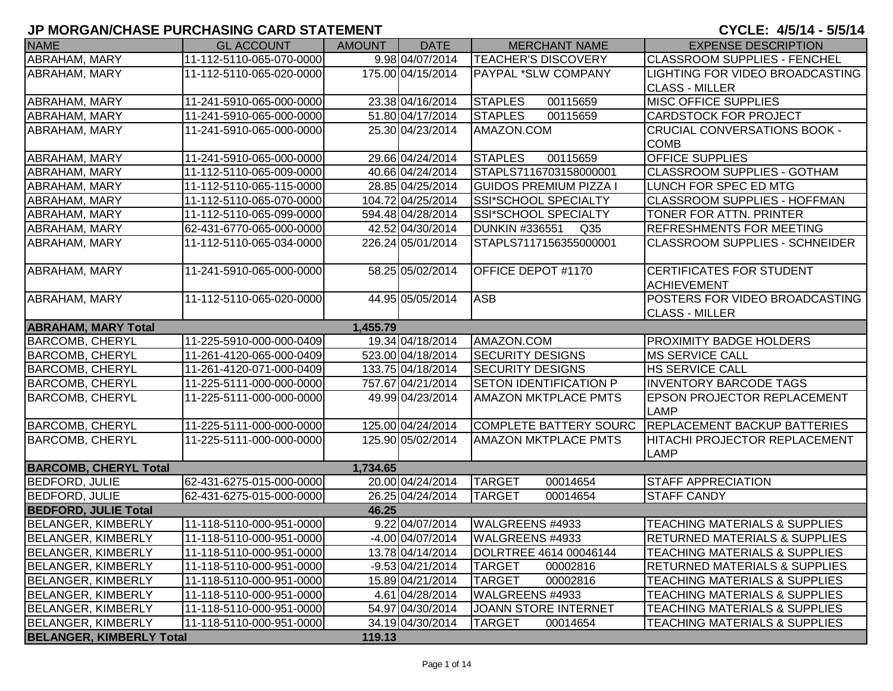#### **JP MORGAN/CHASE PURCHASING CARD STATEMENT**

#### CYCLE: 4/5/14 - 5/5/14

| <b>NAME</b>                     | <b>GL ACCOUNT</b>        | <b>AMOUNT</b> | <b>DATE</b>       | <b>MERCHANT NAME</b>                     | <b>EXPENSE DESCRIPTION</b>               |
|---------------------------------|--------------------------|---------------|-------------------|------------------------------------------|------------------------------------------|
| <b>ABRAHAM, MARY</b>            | 11-112-5110-065-070-0000 |               | 9.98 04/07/2014   | <b>TEACHER'S DISCOVERY</b>               | <b>CLASSROOM SUPPLIES - FENCHEL</b>      |
| <b>ABRAHAM, MARY</b>            | 11-112-5110-065-020-0000 |               | 175.00 04/15/2014 | <b>PAYPAL *SLW COMPANY</b>               | <b>LIGHTING FOR VIDEO BROADCASTING</b>   |
|                                 |                          |               |                   |                                          | <b>CLASS - MILLER</b>                    |
| ABRAHAM, MARY                   | 11-241-5910-065-000-0000 |               | 23.38 04/16/2014  | <b>STAPLES</b><br>00115659               | <b>MISC OFFICE SUPPLIES</b>              |
| ABRAHAM, MARY                   | 11-241-5910-065-000-0000 |               | 51.80 04/17/2014  | <b>STAPLES</b><br>00115659               | <b>CARDSTOCK FOR PROJECT</b>             |
| ABRAHAM, MARY                   | 11-241-5910-065-000-0000 |               | 25.30 04/23/2014  | AMAZON.COM                               | CRUCIAL CONVERSATIONS BOOK -             |
|                                 |                          |               |                   |                                          | <b>COMB</b>                              |
| ABRAHAM, MARY                   | 11-241-5910-065-000-0000 |               | 29.66 04/24/2014  | <b>STAPLES</b><br>00115659               | OFFICE SUPPLIES                          |
| <b>ABRAHAM, MARY</b>            | 11-112-5110-065-009-0000 |               | 40.66 04/24/2014  | STAPLS7116703158000001                   | <b>CLASSROOM SUPPLIES - GOTHAM</b>       |
| <b>ABRAHAM, MARY</b>            | 11-112-5110-065-115-0000 |               | 28.85 04/25/2014  | <b>GUIDOS PREMIUM PIZZA I</b>            | LUNCH FOR SPEC ED MTG                    |
| ABRAHAM, MARY                   | 11-112-5110-065-070-0000 |               | 104.72 04/25/2014 | <b>SSI*SCHOOL SPECIALTY</b>              | <b>CLASSROOM SUPPLIES - HOFFMAN</b>      |
| <b>ABRAHAM, MARY</b>            | 11-112-5110-065-099-0000 |               | 594.48 04/28/2014 | <b>SSI*SCHOOL SPECIALTY</b>              | TONER FOR ATTN. PRINTER                  |
| ABRAHAM, MARY                   | 62-431-6770-065-000-0000 |               | 42.52 04/30/2014  | <b>DUNKIN #336551</b><br>Q <sub>35</sub> | <b>REFRESHMENTS FOR MEETING</b>          |
| <b>ABRAHAM, MARY</b>            | 11-112-5110-065-034-0000 |               | 226.24 05/01/2014 | STAPLS7117156355000001                   | <b>CLASSROOM SUPPLIES - SCHNEIDER</b>    |
|                                 |                          |               |                   |                                          |                                          |
| ABRAHAM, MARY                   | 11-241-5910-065-000-0000 |               | 58.25 05/02/2014  | OFFICE DEPOT #1170                       | <b>CERTIFICATES FOR STUDENT</b>          |
|                                 |                          |               |                   |                                          | <b>ACHIEVEMENT</b>                       |
| <b>ABRAHAM, MARY</b>            | 11-112-5110-065-020-0000 |               | 44.95 05/05/2014  | <b>ASB</b>                               | POSTERS FOR VIDEO BROADCASTING           |
|                                 |                          |               |                   |                                          | <b>CLASS - MILLER</b>                    |
| <b>ABRAHAM, MARY Total</b>      |                          | 1,455.79      |                   |                                          |                                          |
| <b>BARCOMB, CHERYL</b>          | 11-225-5910-000-000-0409 |               | 19.34 04/18/2014  | AMAZON.COM                               | <b>PROXIMITY BADGE HOLDERS</b>           |
| <b>BARCOMB, CHERYL</b>          | 11-261-4120-065-000-0409 |               | 523.00 04/18/2014 | <b>SECURITY DESIGNS</b>                  | <b>MS SERVICE CALL</b>                   |
| <b>BARCOMB, CHERYL</b>          | 11-261-4120-071-000-0409 |               | 133.75 04/18/2014 | <b>SECURITY DESIGNS</b>                  | <b>HS SERVICE CALL</b>                   |
| <b>BARCOMB, CHERYL</b>          | 11-225-5111-000-000-0000 |               | 757.67 04/21/2014 | <b>SETON IDENTIFICATION P</b>            | <b>INVENTORY BARCODE TAGS</b>            |
| <b>BARCOMB, CHERYL</b>          | 11-225-5111-000-000-0000 |               | 49.99 04/23/2014  | <b>AMAZON MKTPLACE PMTS</b>              | <b>EPSON PROJECTOR REPLACEMENT</b>       |
|                                 |                          |               |                   |                                          | <b>LAMP</b>                              |
| <b>BARCOMB, CHERYL</b>          | 11-225-5111-000-000-0000 |               | 125.00 04/24/2014 | <b>COMPLETE BATTERY SOURC</b>            | <b>REPLACEMENT BACKUP BATTERIES</b>      |
| <b>BARCOMB, CHERYL</b>          | 11-225-5111-000-000-0000 |               | 125.90 05/02/2014 | <b>AMAZON MKTPLACE PMTS</b>              | HITACHI PROJECTOR REPLACEMENT            |
|                                 |                          |               |                   |                                          | <b>LAMP</b>                              |
| <b>BARCOMB, CHERYL Total</b>    |                          | 1,734.65      |                   |                                          |                                          |
| <b>BEDFORD, JULIE</b>           | 62-431-6275-015-000-0000 |               | 20.00 04/24/2014  | <b>TARGET</b><br>00014654                | <b>STAFF APPRECIATION</b>                |
| <b>BEDFORD, JULIE</b>           | 62-431-6275-015-000-0000 |               | 26.25 04/24/2014  | <b>TARGET</b><br>00014654                | <b>STAFF CANDY</b>                       |
| <b>BEDFORD, JULIE Total</b>     |                          | 46.25         |                   |                                          |                                          |
| <b>BELANGER, KIMBERLY</b>       | 11-118-5110-000-951-0000 |               | 9.22 04/07/2014   | WALGREENS #4933                          | <b>TEACHING MATERIALS &amp; SUPPLIES</b> |
| <b>BELANGER, KIMBERLY</b>       | 11-118-5110-000-951-0000 |               | -4.00 04/07/2014  | WALGREENS #4933                          | <b>RETURNED MATERIALS &amp; SUPPLIES</b> |
| <b>BELANGER, KIMBERLY</b>       | 11-118-5110-000-951-0000 |               | 13.78 04/14/2014  | DOLRTREE 4614 00046144                   | <b>TEACHING MATERIALS &amp; SUPPLIES</b> |
| <b>BELANGER, KIMBERLY</b>       | 11-118-5110-000-951-0000 |               | -9.53 04/21/2014  | <b>TARGET</b><br>00002816                | <b>RETURNED MATERIALS &amp; SUPPLIES</b> |
| <b>BELANGER, KIMBERLY</b>       | 11-118-5110-000-951-0000 |               | 15.89 04/21/2014  | <b>TARGET</b><br>00002816                | TEACHING MATERIALS & SUPPLIES            |
| <b>BELANGER, KIMBERLY</b>       | 11-118-5110-000-951-0000 |               | 4.61 04/28/2014   | WALGREENS #4933                          | <b>TEACHING MATERIALS &amp; SUPPLIES</b> |
| <b>BELANGER, KIMBERLY</b>       | 11-118-5110-000-951-0000 |               | 54.97 04/30/2014  | <b>JOANN STORE INTERNET</b>              | <b>TEACHING MATERIALS &amp; SUPPLIES</b> |
| <b>BELANGER, KIMBERLY</b>       | 11-118-5110-000-951-0000 |               | 34.19 04/30/2014  | <b>TARGET</b><br>00014654                | <b>TEACHING MATERIALS &amp; SUPPLIES</b> |
| <b>BELANGER, KIMBERLY Total</b> |                          | 119.13        |                   |                                          |                                          |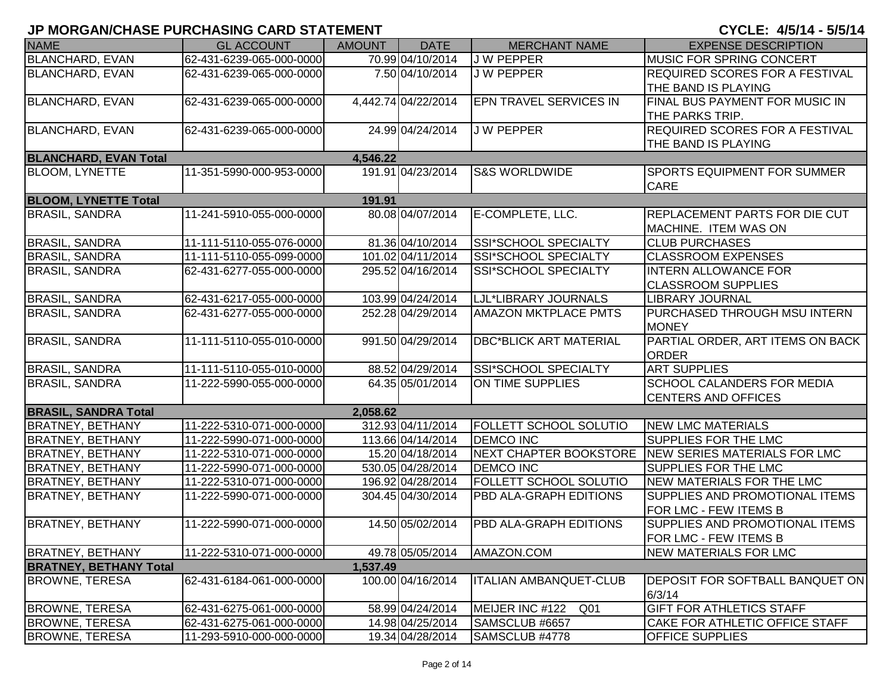| <b>NAME</b>                   | <b>GL ACCOUNT</b>        | <b>AMOUNT</b> | <b>DATE</b>         | <b>MERCHANT NAME</b>               | <b>EXPENSE DESCRIPTION</b>            |
|-------------------------------|--------------------------|---------------|---------------------|------------------------------------|---------------------------------------|
| <b>BLANCHARD, EVAN</b>        | 62-431-6239-065-000-0000 |               | 70.99 04/10/2014    | <b>JW PEPPER</b>                   | <b>MUSIC FOR SPRING CONCERT</b>       |
| <b>BLANCHARD, EVAN</b>        | 62-431-6239-065-000-0000 |               | 7.50 04/10/2014     | <b>JW PEPPER</b>                   | <b>REQUIRED SCORES FOR A FESTIVAL</b> |
|                               |                          |               |                     |                                    | THE BAND IS PLAYING                   |
| <b>BLANCHARD, EVAN</b>        | 62-431-6239-065-000-0000 |               | 4,442.74 04/22/2014 | EPN TRAVEL SERVICES IN             | FINAL BUS PAYMENT FOR MUSIC IN        |
|                               |                          |               |                     |                                    | THE PARKS TRIP.                       |
| <b>BLANCHARD, EVAN</b>        | 62-431-6239-065-000-0000 |               | 24.99 04/24/2014    | <b>JW PEPPER</b>                   | <b>REQUIRED SCORES FOR A FESTIVAL</b> |
|                               |                          |               |                     |                                    | THE BAND IS PLAYING                   |
| <b>BLANCHARD, EVAN Total</b>  |                          | 4,546.22      |                     |                                    |                                       |
| <b>BLOOM, LYNETTE</b>         | 11-351-5990-000-953-0000 |               | 191.91 04/23/2014   | <b>S&amp;S WORLDWIDE</b>           | SPORTS EQUIPMENT FOR SUMMER           |
|                               |                          |               |                     |                                    | CARE                                  |
| <b>BLOOM, LYNETTE Total</b>   |                          | 191.91        |                     |                                    |                                       |
| <b>BRASIL, SANDRA</b>         | 11-241-5910-055-000-0000 |               | 80.08 04/07/2014    | E-COMPLETE, LLC.                   | <b>REPLACEMENT PARTS FOR DIE CUT</b>  |
|                               |                          |               |                     |                                    | MACHINE. ITEM WAS ON                  |
| <b>BRASIL, SANDRA</b>         | 11-111-5110-055-076-0000 |               | 81.36 04/10/2014    | SSI*SCHOOL SPECIALTY               | <b>CLUB PURCHASES</b>                 |
| <b>BRASIL, SANDRA</b>         | 11-111-5110-055-099-0000 |               | 101.02 04/11/2014   | <b>SSI*SCHOOL SPECIALTY</b>        | <b>CLASSROOM EXPENSES</b>             |
| <b>BRASIL, SANDRA</b>         | 62-431-6277-055-000-0000 |               | 295.52 04/16/2014   | SSI*SCHOOL SPECIALTY               | <b>INTERN ALLOWANCE FOR</b>           |
|                               |                          |               |                     |                                    | <b>CLASSROOM SUPPLIES</b>             |
| <b>BRASIL, SANDRA</b>         | 62-431-6217-055-000-0000 |               | 103.99 04/24/2014   | LJL*LIBRARY JOURNALS               | <b>LIBRARY JOURNAL</b>                |
| <b>BRASIL, SANDRA</b>         | 62-431-6277-055-000-0000 |               | 252.28 04/29/2014   | <b>AMAZON MKTPLACE PMTS</b>        | PURCHASED THROUGH MSU INTERN          |
|                               |                          |               |                     |                                    | <b>MONEY</b>                          |
| <b>BRASIL, SANDRA</b>         | 11-111-5110-055-010-0000 |               | 991.50 04/29/2014   | <b>DBC*BLICK ART MATERIAL</b>      | PARTIAL ORDER, ART ITEMS ON BACK      |
|                               |                          |               |                     |                                    | <b>ORDER</b>                          |
| <b>BRASIL, SANDRA</b>         | 11-111-5110-055-010-0000 |               | 88.52 04/29/2014    | SSI*SCHOOL SPECIALTY               | <b>ART SUPPLIES</b>                   |
| <b>BRASIL, SANDRA</b>         | 11-222-5990-055-000-0000 |               | 64.35 05/01/2014    | ON TIME SUPPLIES                   | SCHOOL CALANDERS FOR MEDIA            |
|                               |                          |               |                     |                                    | <b>CENTERS AND OFFICES</b>            |
| <b>BRASIL, SANDRA Total</b>   |                          | 2,058.62      |                     |                                    |                                       |
| <b>BRATNEY, BETHANY</b>       | 11-222-5310-071-000-0000 |               | 312.93 04/11/2014   | <b>FOLLETT SCHOOL SOLUTIO</b>      | <b>NEW LMC MATERIALS</b>              |
| <b>BRATNEY, BETHANY</b>       | 11-222-5990-071-000-0000 |               | 113.66 04/14/2014   | <b>DEMCO INC</b>                   | <b>SUPPLIES FOR THE LMC</b>           |
| <b>BRATNEY, BETHANY</b>       | 11-222-5310-071-000-0000 |               | 15.20 04/18/2014    | <b>NEXT CHAPTER BOOKSTORE</b>      | NEW SERIES MATERIALS FOR LMC          |
| <b>BRATNEY, BETHANY</b>       | 11-222-5990-071-000-0000 |               | 530.05 04/28/2014   | <b>DEMCO INC</b>                   | SUPPLIES FOR THE LMC                  |
| <b>BRATNEY, BETHANY</b>       | 11-222-5310-071-000-0000 |               | 196.92 04/28/2014   | FOLLETT SCHOOL SOLUTIO             | NEW MATERIALS FOR THE LMC             |
| <b>BRATNEY, BETHANY</b>       | 11-222-5990-071-000-0000 |               | 304.45 04/30/2014   | PBD ALA-GRAPH EDITIONS             | SUPPLIES AND PROMOTIONAL ITEMS        |
|                               |                          |               |                     |                                    | FOR LMC - FEW ITEMS B                 |
| <b>BRATNEY, BETHANY</b>       | 11-222-5990-071-000-0000 |               | 14.50 05/02/2014    | PBD ALA-GRAPH EDITIONS             | SUPPLIES AND PROMOTIONAL ITEMS        |
|                               |                          |               |                     |                                    | FOR LMC - FEW ITEMS B                 |
| <b>BRATNEY, BETHANY</b>       | 11-222-5310-071-000-0000 |               | 49.78 05/05/2014    | AMAZON.COM                         | <b>NEW MATERIALS FOR LMC</b>          |
| <b>BRATNEY, BETHANY Total</b> |                          | 1,537.49      |                     |                                    |                                       |
| <b>BROWNE, TERESA</b>         | 62-431-6184-061-000-0000 |               | 100.00 04/16/2014   | <b>ITALIAN AMBANQUET-CLUB</b>      | DEPOSIT FOR SOFTBALL BANQUET ON       |
|                               |                          |               |                     |                                    | 6/3/14                                |
| <b>BROWNE, TERESA</b>         | 62-431-6275-061-000-0000 |               | 58.99 04/24/2014    | MEIJER INC #122<br>Q <sub>01</sub> | GIFT FOR ATHLETICS STAFF              |
| <b>BROWNE, TERESA</b>         | 62-431-6275-061-000-0000 |               | 14.98 04/25/2014    | SAMSCLUB #6657                     | CAKE FOR ATHLETIC OFFICE STAFF        |
| <b>BROWNE, TERESA</b>         | 11-293-5910-000-000-0000 |               | 19.34 04/28/2014    | SAMSCLUB #4778                     | OFFICE SUPPLIES                       |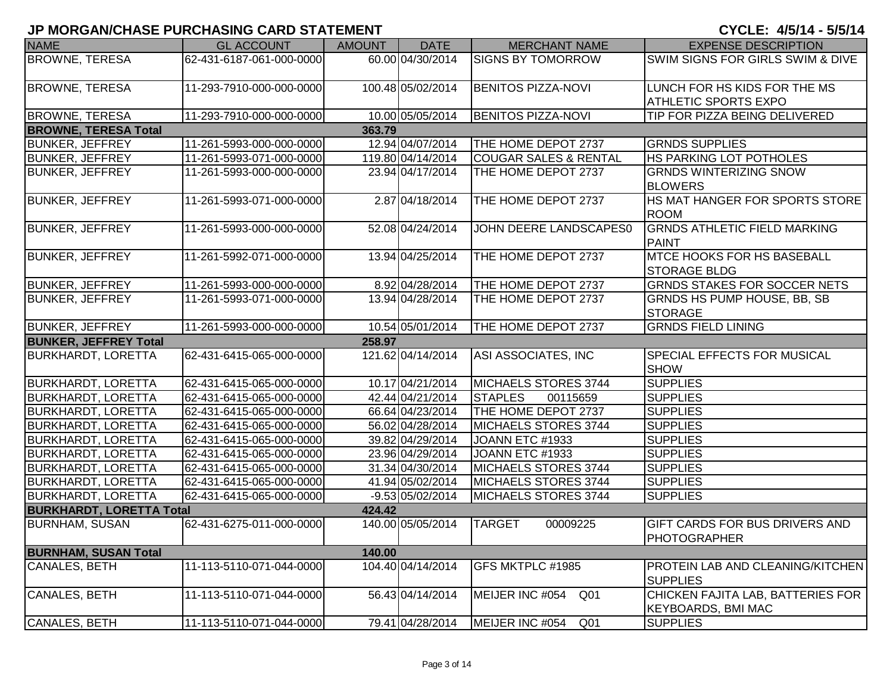| <b>NAME</b>                     | <b>GL ACCOUNT</b>        | <b>AMOUNT</b> | <b>DATE</b>       | <b>MERCHANT NAME</b>               | <b>EXPENSE DESCRIPTION</b>                                     |
|---------------------------------|--------------------------|---------------|-------------------|------------------------------------|----------------------------------------------------------------|
| <b>BROWNE, TERESA</b>           | 62-431-6187-061-000-0000 |               | 60.00 04/30/2014  | <b>SIGNS BY TOMORROW</b>           | SWIM SIGNS FOR GIRLS SWIM & DIVE                               |
| <b>BROWNE, TERESA</b>           | 11-293-7910-000-000-0000 |               | 100.48 05/02/2014 | <b>BENITOS PIZZA-NOVI</b>          | LUNCH FOR HS KIDS FOR THE MS<br><b>ATHLETIC SPORTS EXPO</b>    |
| <b>BROWNE, TERESA</b>           | 11-293-7910-000-000-0000 |               | 10.00 05/05/2014  | <b>BENITOS PIZZA-NOVI</b>          | TIP FOR PIZZA BEING DELIVERED                                  |
| <b>BROWNE, TERESA Total</b>     |                          | 363.79        |                   |                                    |                                                                |
| <b>BUNKER, JEFFREY</b>          | 11-261-5993-000-000-0000 |               | 12.94 04/07/2014  | THE HOME DEPOT 2737                | <b>GRNDS SUPPLIES</b>                                          |
| <b>BUNKER, JEFFREY</b>          | 11-261-5993-071-000-0000 |               | 119.80 04/14/2014 | <b>COUGAR SALES &amp; RENTAL</b>   | <b>HS PARKING LOT POTHOLES</b>                                 |
| <b>BUNKER, JEFFREY</b>          | 11-261-5993-000-000-0000 |               | 23.94 04/17/2014  | THE HOME DEPOT 2737                | <b>GRNDS WINTERIZING SNOW</b><br><b>BLOWERS</b>                |
| <b>BUNKER, JEFFREY</b>          | 11-261-5993-071-000-0000 |               | 2.87 04/18/2014   | THE HOME DEPOT 2737                | <b>HS MAT HANGER FOR SPORTS STORE</b><br><b>ROOM</b>           |
| <b>BUNKER, JEFFREY</b>          | 11-261-5993-000-000-0000 |               | 52.08 04/24/2014  | JOHN DEERE LANDSCAPES0             | <b>GRNDS ATHLETIC FIELD MARKING</b><br>PAINT                   |
| <b>BUNKER, JEFFREY</b>          | 11-261-5992-071-000-0000 |               | 13.94 04/25/2014  | THE HOME DEPOT 2737                | <b>MTCE HOOKS FOR HS BASEBALL</b><br><b>STORAGE BLDG</b>       |
| <b>BUNKER, JEFFREY</b>          | 11-261-5993-000-000-0000 |               | 8.92 04/28/2014   | THE HOME DEPOT 2737                | <b>GRNDS STAKES FOR SOCCER NETS</b>                            |
| <b>BUNKER, JEFFREY</b>          | 11-261-5993-071-000-0000 |               | 13.94 04/28/2014  | THE HOME DEPOT 2737                | <b>GRNDS HS PUMP HOUSE, BB, SB</b><br><b>STORAGE</b>           |
| <b>BUNKER, JEFFREY</b>          | 11-261-5993-000-000-0000 |               | 10.54 05/01/2014  | THE HOME DEPOT 2737                | <b>GRNDS FIELD LINING</b>                                      |
| <b>BUNKER, JEFFREY Total</b>    |                          | 258.97        |                   |                                    |                                                                |
| <b>BURKHARDT, LORETTA</b>       | 62-431-6415-065-000-0000 |               | 121.62 04/14/2014 | ASI ASSOCIATES, INC                | <b>SPECIAL EFFECTS FOR MUSICAL</b><br><b>SHOW</b>              |
| <b>BURKHARDT, LORETTA</b>       | 62-431-6415-065-000-0000 |               | 10.17 04/21/2014  | MICHAELS STORES 3744               | <b>SUPPLIES</b>                                                |
| <b>BURKHARDT, LORETTA</b>       | 62-431-6415-065-000-0000 |               | 42.44 04/21/2014  | <b>STAPLES</b><br>00115659         | <b>SUPPLIES</b>                                                |
| <b>BURKHARDT, LORETTA</b>       | 62-431-6415-065-000-0000 |               | 66.64 04/23/2014  | THE HOME DEPOT 2737                | <b>SUPPLIES</b>                                                |
| <b>BURKHARDT, LORETTA</b>       | 62-431-6415-065-000-0000 |               | 56.02 04/28/2014  | MICHAELS STORES 3744               | <b>SUPPLIES</b>                                                |
| <b>BURKHARDT, LORETTA</b>       | 62-431-6415-065-000-0000 |               | 39.82 04/29/2014  | JOANN ETC #1933                    | <b>SUPPLIES</b>                                                |
| <b>BURKHARDT, LORETTA</b>       | 62-431-6415-065-000-0000 |               | 23.96 04/29/2014  | JOANN ETC #1933                    | <b>SUPPLIES</b>                                                |
| <b>BURKHARDT, LORETTA</b>       | 62-431-6415-065-000-0000 |               | 31.34 04/30/2014  | MICHAELS STORES 3744               | <b>SUPPLIES</b>                                                |
| <b>BURKHARDT, LORETTA</b>       | 62-431-6415-065-000-0000 |               | 41.94 05/02/2014  | MICHAELS STORES 3744               | <b>SUPPLIES</b>                                                |
| <b>BURKHARDT, LORETTA</b>       | 62-431-6415-065-000-0000 |               | -9.53 05/02/2014  | MICHAELS STORES 3744               | <b>SUPPLIES</b>                                                |
| <b>BURKHARDT, LORETTA Total</b> |                          | 424.42        |                   |                                    |                                                                |
| <b>BURNHAM, SUSAN</b>           | 62-431-6275-011-000-0000 |               | 140.00 05/05/2014 | <b>TARGET</b><br>00009225          | <b>GIFT CARDS FOR BUS DRIVERS AND</b><br>PHOTOGRAPHER          |
| <b>BURNHAM, SUSAN Total</b>     |                          | 140.00        |                   |                                    |                                                                |
| <b>CANALES, BETH</b>            | 11-113-5110-071-044-0000 |               | 104.40 04/14/2014 | GFS MKTPLC #1985                   | PROTEIN LAB AND CLEANING/KITCHEN<br><b>SUPPLIES</b>            |
| <b>CANALES, BETH</b>            | 11-113-5110-071-044-0000 |               | 56.43 04/14/2014  | MEIJER INC #054<br>Q <sub>01</sub> | CHICKEN FAJITA LAB, BATTERIES FOR<br><b>KEYBOARDS, BMI MAC</b> |
| CANALES, BETH                   | 11-113-5110-071-044-0000 |               | 79.41 04/28/2014  | MEIJER INC #054 Q01                | <b>SUPPLIES</b>                                                |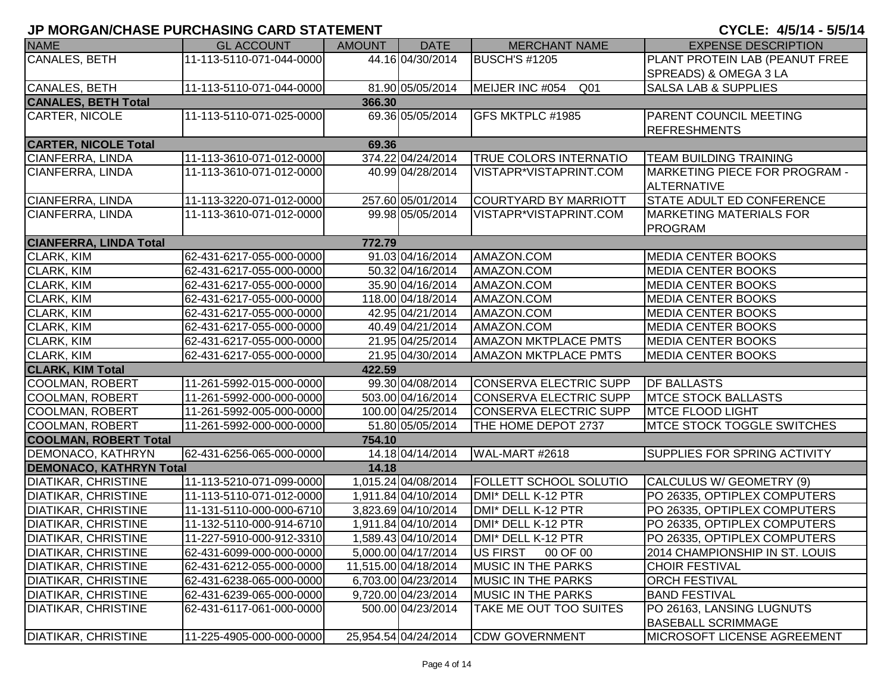| <b>NAME</b>                    | <b>GL ACCOUNT</b>        | <b>AMOUNT</b> | <b>DATE</b>          | <b>MERCHANT NAME</b>               | <b>EXPENSE DESCRIPTION</b>                          |
|--------------------------------|--------------------------|---------------|----------------------|------------------------------------|-----------------------------------------------------|
| <b>CANALES, BETH</b>           | 11-113-5110-071-044-0000 |               | 44.16 04/30/2014     | <b>BUSCH'S #1205</b>               | PLANT PROTEIN LAB (PEANUT FREE                      |
|                                |                          |               |                      |                                    | SPREADS) & OMEGA 3 LA                               |
| CANALES, BETH                  | 11-113-5110-071-044-0000 |               | 81.90 05/05/2014     | MEIJER INC #054<br>Q <sub>01</sub> | <b>SALSA LAB &amp; SUPPLIES</b>                     |
| <b>CANALES, BETH Total</b>     |                          | 366.30        |                      |                                    |                                                     |
| <b>CARTER, NICOLE</b>          | 11-113-5110-071-025-0000 |               | 69.36 05/05/2014     | GFS MKTPLC #1985                   | PARENT COUNCIL MEETING                              |
|                                |                          |               |                      |                                    | <b>REFRESHMENTS</b>                                 |
| <b>CARTER, NICOLE Total</b>    |                          | 69.36         |                      |                                    |                                                     |
| CIANFERRA, LINDA               | 11-113-3610-071-012-0000 |               | 374.22 04/24/2014    | <b>TRUE COLORS INTERNATIO</b>      | <b>TEAM BUILDING TRAINING</b>                       |
| <b>CIANFERRA, LINDA</b>        | 11-113-3610-071-012-0000 |               | 40.99 04/28/2014     | VISTAPR*VISTAPRINT.COM             | <b>MARKETING PIECE FOR PROGRAM -</b><br>ALTERNATIVE |
| <b>CIANFERRA, LINDA</b>        | 11-113-3220-071-012-0000 |               | 257.60 05/01/2014    | <b>COURTYARD BY MARRIOTT</b>       | STATE ADULT ED CONFERENCE                           |
| CIANFERRA, LINDA               | 11-113-3610-071-012-0000 |               | 99.98 05/05/2014     | VISTAPR*VISTAPRINT.COM             | <b>MARKETING MATERIALS FOR</b>                      |
|                                |                          |               |                      |                                    | PROGRAM                                             |
| <b>CIANFERRA, LINDA Total</b>  |                          | 772.79        |                      |                                    |                                                     |
| CLARK, KIM                     | 62-431-6217-055-000-0000 |               | 91.03 04/16/2014     | AMAZON.COM                         | <b>MEDIA CENTER BOOKS</b>                           |
| CLARK, KIM                     | 62-431-6217-055-000-0000 |               | 50.32 04/16/2014     | AMAZON.COM                         | <b>MEDIA CENTER BOOKS</b>                           |
| <b>CLARK, KIM</b>              | 62-431-6217-055-000-0000 |               | 35.90 04/16/2014     | AMAZON.COM                         | <b>MEDIA CENTER BOOKS</b>                           |
| CLARK, KIM                     | 62-431-6217-055-000-0000 |               | 118.00 04/18/2014    | AMAZON.COM                         | <b>MEDIA CENTER BOOKS</b>                           |
| CLARK, KIM                     | 62-431-6217-055-000-0000 |               | 42.95 04/21/2014     | AMAZON.COM                         | <b>MEDIA CENTER BOOKS</b>                           |
| <b>CLARK, KIM</b>              | 62-431-6217-055-000-0000 |               | 40.49 04/21/2014     | AMAZON.COM                         | <b>MEDIA CENTER BOOKS</b>                           |
| <b>CLARK, KIM</b>              | 62-431-6217-055-000-0000 |               | 21.95 04/25/2014     | <b>AMAZON MKTPLACE PMTS</b>        | <b>MEDIA CENTER BOOKS</b>                           |
| CLARK, KIM                     | 62-431-6217-055-000-0000 |               | 21.95 04/30/2014     | <b>AMAZON MKTPLACE PMTS</b>        | <b>MEDIA CENTER BOOKS</b>                           |
| <b>CLARK, KIM Total</b>        |                          | 422.59        |                      |                                    |                                                     |
| COOLMAN, ROBERT                | 11-261-5992-015-000-0000 |               | 99.30 04/08/2014     | CONSERVA ELECTRIC SUPP             | <b>DF BALLASTS</b>                                  |
| COOLMAN, ROBERT                | 11-261-5992-000-000-0000 |               | 503.00 04/16/2014    | CONSERVA ELECTRIC SUPP             | <b>MTCE STOCK BALLASTS</b>                          |
| <b>COOLMAN, ROBERT</b>         | 11-261-5992-005-000-0000 |               | 100.00 04/25/2014    | CONSERVA ELECTRIC SUPP             | <b>MTCE FLOOD LIGHT</b>                             |
| COOLMAN, ROBERT                | 11-261-5992-000-000-0000 |               | 51.80 05/05/2014     | THE HOME DEPOT 2737                | <b>MTCE STOCK TOGGLE SWITCHES</b>                   |
| <b>COOLMAN, ROBERT Total</b>   |                          | 754.10        |                      |                                    |                                                     |
| <b>DEMONACO, KATHRYN</b>       | 62-431-6256-065-000-0000 |               | 14.18 04/14/2014     | WAL-MART #2618                     | SUPPLIES FOR SPRING ACTIVITY                        |
| <b>DEMONACO, KATHRYN Total</b> |                          | 14.18         |                      |                                    |                                                     |
| <b>DIATIKAR, CHRISTINE</b>     | 11-113-5210-071-099-0000 |               | 1,015.24 04/08/2014  | <b>FOLLETT SCHOOL SOLUTIO</b>      | CALCULUS W/ GEOMETRY (9)                            |
| <b>DIATIKAR, CHRISTINE</b>     | 11-113-5110-071-012-0000 |               | 1,911.84 04/10/2014  | DMI* DELL K-12 PTR                 | PO 26335, OPTIPLEX COMPUTERS                        |
| <b>DIATIKAR, CHRISTINE</b>     | 11-131-5110-000-000-6710 |               | 3,823.69 04/10/2014  | DMI* DELL K-12 PTR                 | PO 26335, OPTIPLEX COMPUTERS                        |
| <b>DIATIKAR, CHRISTINE</b>     | 11-132-5110-000-914-6710 |               | 1,911.84 04/10/2014  | DMI* DELL K-12 PTR                 | PO 26335, OPTIPLEX COMPUTERS                        |
| <b>DIATIKAR, CHRISTINE</b>     | 11-227-5910-000-912-3310 |               | 1,589.43 04/10/2014  | DMI* DELL K-12 PTR                 | PO 26335, OPTIPLEX COMPUTERS                        |
| <b>DIATIKAR, CHRISTINE</b>     | 62-431-6099-000-000-0000 |               | 5,000.00 04/17/2014  | <b>US FIRST</b><br>00 OF 00        | 2014 CHAMPIONSHIP IN ST. LOUIS                      |
| <b>DIATIKAR, CHRISTINE</b>     | 62-431-6212-055-000-0000 |               | 11,515.00 04/18/2014 | <b>MUSIC IN THE PARKS</b>          | <b>CHOIR FESTIVAL</b>                               |
| <b>DIATIKAR, CHRISTINE</b>     | 62-431-6238-065-000-0000 |               | 6,703.00 04/23/2014  | <b>MUSIC IN THE PARKS</b>          | <b>ORCH FESTIVAL</b>                                |
| <b>DIATIKAR, CHRISTINE</b>     | 62-431-6239-065-000-0000 |               | 9,720.00 04/23/2014  | <b>MUSIC IN THE PARKS</b>          | <b>BAND FESTIVAL</b>                                |
| <b>DIATIKAR, CHRISTINE</b>     | 62-431-6117-061-000-0000 |               | 500.00 04/23/2014    | TAKE ME OUT TOO SUITES             | PO 26163, LANSING LUGNUTS                           |
|                                |                          |               |                      |                                    | <b>BASEBALL SCRIMMAGE</b>                           |
| <b>DIATIKAR, CHRISTINE</b>     | 11-225-4905-000-000-0000 |               | 25,954.54 04/24/2014 | <b>CDW GOVERNMENT</b>              | <b>MICROSOFT LICENSE AGREEMENT</b>                  |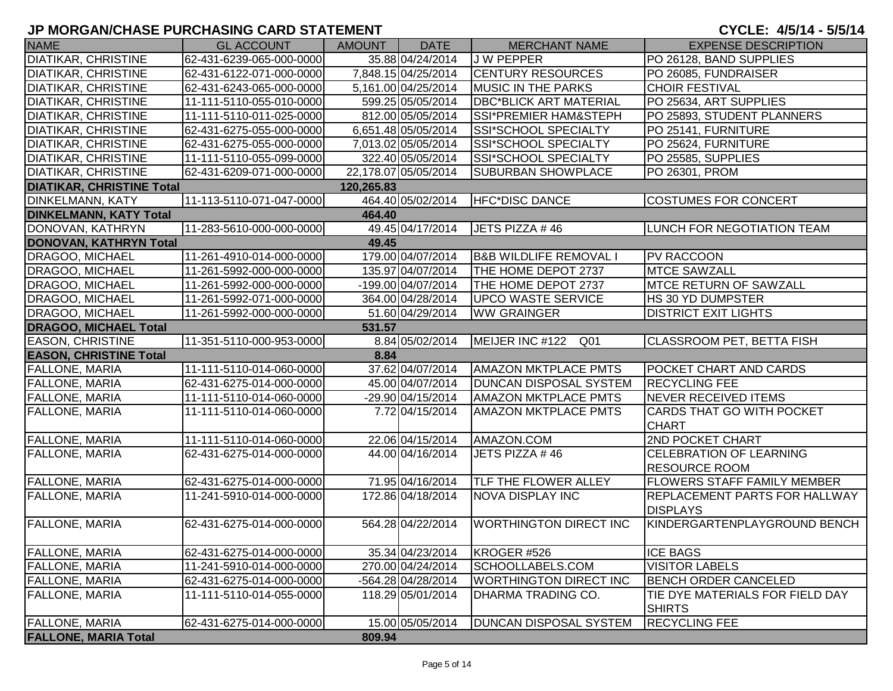| <b>NAME</b>                      | <b>GL ACCOUNT</b>        | AMOUNT     | <b>DATE</b>          | <b>MERCHANT NAME</b>              | <b>EXPENSE DESCRIPTION</b>                       |
|----------------------------------|--------------------------|------------|----------------------|-----------------------------------|--------------------------------------------------|
| <b>DIATIKAR, CHRISTINE</b>       | 62-431-6239-065-000-0000 |            | 35.88 04/24/2014     | J W PEPPER                        | PO 26128, BAND SUPPLIES                          |
| <b>DIATIKAR, CHRISTINE</b>       | 62-431-6122-071-000-0000 |            | 7,848.15 04/25/2014  | <b>CENTURY RESOURCES</b>          | PO 26085, FUNDRAISER                             |
| <b>DIATIKAR, CHRISTINE</b>       | 62-431-6243-065-000-0000 |            | 5,161.00 04/25/2014  | <b>MUSIC IN THE PARKS</b>         | <b>CHOIR FESTIVAL</b>                            |
| <b>DIATIKAR, CHRISTINE</b>       | 11-111-5110-055-010-0000 |            | 599.25 05/05/2014    | <b>DBC*BLICK ART MATERIAL</b>     | PO 25634, ART SUPPLIES                           |
| <b>DIATIKAR, CHRISTINE</b>       | 11-111-5110-011-025-0000 |            | 812.00 05/05/2014    | SSI*PREMIER HAM&STEPH             | PO 25893, STUDENT PLANNERS                       |
| <b>DIATIKAR, CHRISTINE</b>       | 62-431-6275-055-000-0000 |            | 6,651.48 05/05/2014  | SSI*SCHOOL SPECIALTY              | PO 25141, FURNITURE                              |
| <b>DIATIKAR, CHRISTINE</b>       | 62-431-6275-055-000-0000 |            | 7,013.02 05/05/2014  | SSI*SCHOOL SPECIALTY              | PO 25624, FURNITURE                              |
| <b>DIATIKAR, CHRISTINE</b>       | 11-111-5110-055-099-0000 |            | 322.40 05/05/2014    | SSI*SCHOOL SPECIALTY              | PO 25585, SUPPLIES                               |
| <b>DIATIKAR, CHRISTINE</b>       | 62-431-6209-071-000-0000 |            | 22,178.07 05/05/2014 | <b>SUBURBAN SHOWPLACE</b>         | PO 26301, PROM                                   |
| <b>DIATIKAR, CHRISTINE Total</b> |                          | 120,265.83 |                      |                                   |                                                  |
| <b>DINKELMANN, KATY</b>          | 11-113-5110-071-047-0000 |            | 464.40 05/02/2014    | <b>HFC*DISC DANCE</b>             | <b>COSTUMES FOR CONCERT</b>                      |
| <b>DINKELMANN, KATY Total</b>    |                          | 464.40     |                      |                                   |                                                  |
| DONOVAN, KATHRYN                 | 11-283-5610-000-000-0000 |            | 49.45 04/17/2014     | JETS PIZZA #46                    | <b>LUNCH FOR NEGOTIATION TEAM</b>                |
| <b>DONOVAN, KATHRYN Total</b>    |                          | 49.45      |                      |                                   |                                                  |
| DRAGOO, MICHAEL                  | 11-261-4910-014-000-0000 |            | 179.00 04/07/2014    | <b>B&amp;B WILDLIFE REMOVAL I</b> | <b>PV RACCOON</b>                                |
| DRAGOO, MICHAEL                  | 11-261-5992-000-000-0000 |            | 135.97 04/07/2014    | THE HOME DEPOT 2737               | <b>MTCE SAWZALL</b>                              |
| <b>DRAGOO, MICHAEL</b>           | 11-261-5992-000-000-0000 |            | -199.00 04/07/2014   | THE HOME DEPOT 2737               | <b>MTCE RETURN OF SAWZALL</b>                    |
| DRAGOO, MICHAEL                  | 11-261-5992-071-000-0000 |            | 364.00 04/28/2014    | <b>UPCO WASTE SERVICE</b>         | HS 30 YD DUMPSTER                                |
| DRAGOO, MICHAEL                  | 11-261-5992-000-000-0000 |            | 51.60 04/29/2014     | <b>WW GRAINGER</b>                | <b>DISTRICT EXIT LIGHTS</b>                      |
| <b>DRAGOO, MICHAEL Total</b>     |                          | 531.57     |                      |                                   |                                                  |
| <b>EASON, CHRISTINE</b>          | 11-351-5110-000-953-0000 |            | 8.84 05/02/2014      | MEIJER INC #122 Q01               | <b>CLASSROOM PET, BETTA FISH</b>                 |
| <b>EASON, CHRISTINE Total</b>    |                          | 8.84       |                      |                                   |                                                  |
| FALLONE, MARIA                   | 11-111-5110-014-060-0000 |            | 37.62 04/07/2014     | <b>AMAZON MKTPLACE PMTS</b>       | <b>POCKET CHART AND CARDS</b>                    |
| <b>FALLONE, MARIA</b>            | 62-431-6275-014-000-0000 |            | 45.00 04/07/2014     | <b>DUNCAN DISPOSAL SYSTEM</b>     | <b>RECYCLING FEE</b>                             |
| <b>FALLONE, MARIA</b>            | 11-111-5110-014-060-0000 |            | -29.90 04/15/2014    | <b>AMAZON MKTPLACE PMTS</b>       | <b>NEVER RECEIVED ITEMS</b>                      |
| <b>FALLONE, MARIA</b>            | 11-111-5110-014-060-0000 |            | 7.72 04/15/2014      | <b>AMAZON MKTPLACE PMTS</b>       | <b>CARDS THAT GO WITH POCKET</b><br><b>CHART</b> |
| FALLONE, MARIA                   | 11-111-5110-014-060-0000 |            | 22.06 04/15/2014     | AMAZON.COM                        | <b>2ND POCKET CHART</b>                          |
| <b>FALLONE, MARIA</b>            | 62-431-6275-014-000-0000 |            | 44.00 04/16/2014     | JETS PIZZA #46                    | <b>CELEBRATION OF LEARNING</b>                   |
|                                  |                          |            |                      |                                   | <b>RESOURCE ROOM</b>                             |
| FALLONE, MARIA                   | 62-431-6275-014-000-0000 |            | 71.95 04/16/2014     | <b>TLF THE FLOWER ALLEY</b>       | <b>FLOWERS STAFF FAMILY MEMBER</b>               |
| <b>FALLONE, MARIA</b>            | 11-241-5910-014-000-0000 |            | 172.86 04/18/2014    | <b>NOVA DISPLAY INC</b>           | <b>REPLACEMENT PARTS FOR HALLWAY</b>             |
|                                  |                          |            |                      |                                   | <b>DISPLAYS</b>                                  |
| <b>FALLONE, MARIA</b>            | 62-431-6275-014-000-0000 |            | 564.28 04/22/2014    | <b>WORTHINGTON DIRECT INC</b>     | IKINDERGARTENPLAYGROUND BENCH                    |
| <b>FALLONE, MARIA</b>            | 62-431-6275-014-000-0000 |            | 35.34 04/23/2014     | KROGER #526                       | <b>ICE BAGS</b>                                  |
| <b>FALLONE, MARIA</b>            | 11-241-5910-014-000-0000 |            | 270.00 04/24/2014    | SCHOOLLABELS.COM                  | <b>VISITOR LABELS</b>                            |
| <b>FALLONE, MARIA</b>            | 62-431-6275-014-000-0000 |            | -564.28 04/28/2014   | <b>WORTHINGTON DIRECT INC</b>     | <b>BENCH ORDER CANCELED</b>                      |
| <b>FALLONE, MARIA</b>            | 11-111-5110-014-055-0000 |            | 118.29 05/01/2014    | DHARMA TRADING CO.                | TIE DYE MATERIALS FOR FIELD DAY                  |
|                                  |                          |            |                      |                                   | <b>SHIRTS</b>                                    |
| <b>FALLONE, MARIA</b>            | 62-431-6275-014-000-0000 |            | 15.00 05/05/2014     | <b>DUNCAN DISPOSAL SYSTEM</b>     | <b>RECYCLING FEE</b>                             |
| <b>FALLONE, MARIA Total</b>      |                          | 809.94     |                      |                                   |                                                  |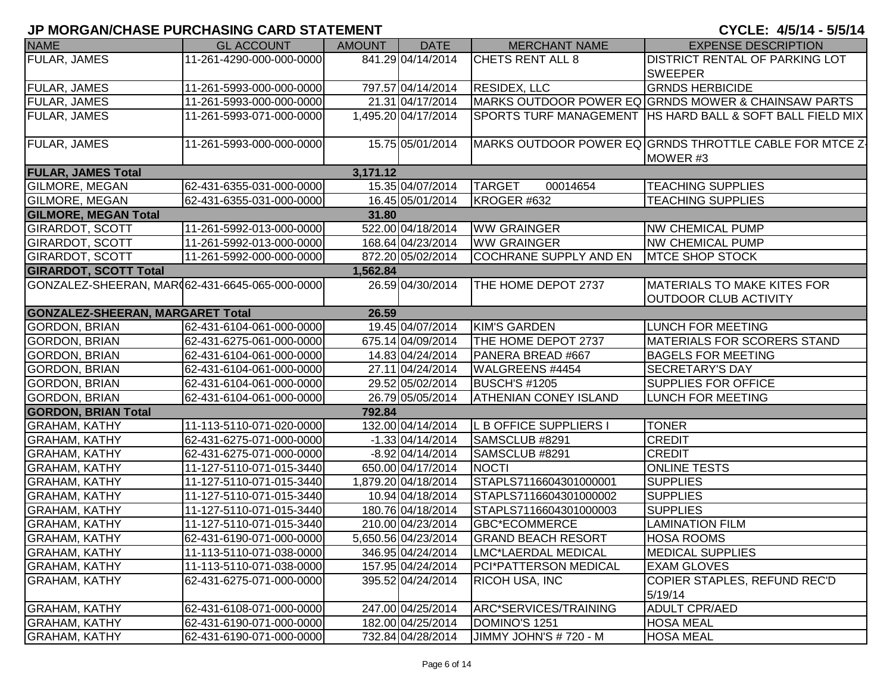| <b>NAME</b>                                     | <b>GL ACCOUNT</b>        | <b>AMOUNT</b> | <b>DATE</b>         | <b>MERCHANT NAME</b>         | <b>EXPENSE DESCRIPTION</b>                                  |
|-------------------------------------------------|--------------------------|---------------|---------------------|------------------------------|-------------------------------------------------------------|
| FULAR, JAMES                                    | 11-261-4290-000-000-0000 |               | 841.29 04/14/2014   | <b>CHETS RENT ALL 8</b>      | <b>DISTRICT RENTAL OF PARKING LOT</b>                       |
|                                                 |                          |               |                     |                              | <b>SWEEPER</b>                                              |
| <b>FULAR, JAMES</b>                             | 11-261-5993-000-000-0000 |               | 797.57 04/14/2014   | <b>RESIDEX, LLC</b>          | <b>GRNDS HERBICIDE</b>                                      |
| FULAR, JAMES                                    | 11-261-5993-000-000-0000 |               | 21.31 04/17/2014    |                              | MARKS OUTDOOR POWER EQ GRNDS MOWER & CHAINSAW PARTS         |
| <b>FULAR, JAMES</b>                             | 11-261-5993-071-000-0000 |               | 1,495.20 04/17/2014 |                              | SPORTS TURF MANAGEMENT   HS HARD BALL & SOFT BALL FIELD MIX |
|                                                 |                          |               |                     |                              |                                                             |
| FULAR, JAMES                                    | 11-261-5993-000-000-0000 |               | 15.75 05/01/2014    |                              | MARKS OUTDOOR POWER EQ GRNDS THROTTLE CABLE FOR MTCE Z-     |
|                                                 |                          |               |                     |                              | MOWER #3                                                    |
| <b>FULAR, JAMES Total</b>                       |                          | 3,171.12      |                     |                              |                                                             |
| <b>GILMORE, MEGAN</b>                           | 62-431-6355-031-000-0000 |               | 15.35 04/07/2014    | <b>TARGET</b><br>00014654    | <b>TEACHING SUPPLIES</b>                                    |
| GILMORE, MEGAN                                  | 62-431-6355-031-000-0000 |               | 16.45 05/01/2014    | KROGER #632                  | <b>TEACHING SUPPLIES</b>                                    |
| <b>GILMORE, MEGAN Total</b>                     |                          | 31.80         |                     |                              |                                                             |
| <b>GIRARDOT, SCOTT</b>                          | 11-261-5992-013-000-0000 |               | 522.00 04/18/2014   | <b>WW GRAINGER</b>           | <b>NW CHEMICAL PUMP</b>                                     |
| <b>GIRARDOT, SCOTT</b>                          | 11-261-5992-013-000-0000 |               | 168.64 04/23/2014   | <b>WW GRAINGER</b>           | <b>NW CHEMICAL PUMP</b>                                     |
| <b>GIRARDOT, SCOTT</b>                          | 11-261-5992-000-000-0000 |               | 872.20 05/02/2014   | COCHRANE SUPPLY AND EN       | <b>MTCE SHOP STOCK</b>                                      |
| <b>GIRARDOT, SCOTT Total</b>                    |                          | 1,562.84      |                     |                              |                                                             |
| GONZALEZ-SHEERAN, MAR(62-431-6645-065-000-0000) |                          |               | 26.59 04/30/2014    | THE HOME DEPOT 2737          | <b>MATERIALS TO MAKE KITES FOR</b>                          |
|                                                 |                          |               |                     |                              | <b>OUTDOOR CLUB ACTIVITY</b>                                |
| <b>GONZALEZ-SHEERAN, MARGARET Total</b>         |                          | 26.59         |                     |                              |                                                             |
| <b>GORDON, BRIAN</b>                            | 62-431-6104-061-000-0000 |               | 19.45 04/07/2014    | <b>KIM'S GARDEN</b>          | <b>LUNCH FOR MEETING</b>                                    |
| <b>GORDON, BRIAN</b>                            | 62-431-6275-061-000-0000 |               | 675.14 04/09/2014   | THE HOME DEPOT 2737          | <b>MATERIALS FOR SCORERS STAND</b>                          |
| <b>GORDON, BRIAN</b>                            | 62-431-6104-061-000-0000 |               | 14.83 04/24/2014    | PANERA BREAD #667            | <b>BAGELS FOR MEETING</b>                                   |
| <b>GORDON, BRIAN</b>                            | 62-431-6104-061-000-0000 |               | 27.11 04/24/2014    | WALGREENS #4454              | <b>SECRETARY'S DAY</b>                                      |
| <b>GORDON, BRIAN</b>                            | 62-431-6104-061-000-0000 |               | 29.52 05/02/2014    | <b>BUSCH'S #1205</b>         | <b>SUPPLIES FOR OFFICE</b>                                  |
| <b>GORDON, BRIAN</b>                            | 62-431-6104-061-000-0000 |               | 26.79 05/05/2014    | <b>ATHENIAN CONEY ISLAND</b> | <b>LUNCH FOR MEETING</b>                                    |
| <b>GORDON, BRIAN Total</b>                      |                          | 792.84        |                     |                              |                                                             |
| <b>GRAHAM, KATHY</b>                            | 11-113-5110-071-020-0000 |               | 132.00 04/14/2014   | L B OFFICE SUPPLIERS I       | <b>TONER</b>                                                |
| <b>GRAHAM, KATHY</b>                            | 62-431-6275-071-000-0000 |               | $-1.33 04/14/2014$  | SAMSCLUB #8291               | <b>CREDIT</b>                                               |
| <b>GRAHAM, KATHY</b>                            | 62-431-6275-071-000-0000 |               | $-8.92 04/14/2014$  | SAMSCLUB #8291               | <b>CREDIT</b>                                               |
| <b>GRAHAM, KATHY</b>                            | 11-127-5110-071-015-3440 |               | 650.00 04/17/2014   | <b>NOCTI</b>                 | <b>ONLINE TESTS</b>                                         |
| <b>GRAHAM, KATHY</b>                            | 11-127-5110-071-015-3440 |               | 1,879.20 04/18/2014 | STAPLS7116604301000001       | <b>SUPPLIES</b>                                             |
| <b>GRAHAM, KATHY</b>                            | 11-127-5110-071-015-3440 |               | 10.94 04/18/2014    | STAPLS7116604301000002       | <b>SUPPLIES</b>                                             |
| <b>GRAHAM, KATHY</b>                            | 11-127-5110-071-015-3440 |               | 180.76 04/18/2014   | STAPLS7116604301000003       | <b>SUPPLIES</b>                                             |
| <b>GRAHAM, KATHY</b>                            | 11-127-5110-071-015-3440 |               | 210.00 04/23/2014   | <b>GBC*ECOMMERCE</b>         | <b>LAMINATION FILM</b>                                      |
| <b>GRAHAM, KATHY</b>                            | 62-431-6190-071-000-0000 |               | 5,650.56 04/23/2014 | <b>GRAND BEACH RESORT</b>    | <b>HOSA ROOMS</b>                                           |
| <b>GRAHAM, KATHY</b>                            | 11-113-5110-071-038-0000 |               | 346.95 04/24/2014   | LMC*LAERDAL MEDICAL          | <b>MEDICAL SUPPLIES</b>                                     |
| <b>GRAHAM, KATHY</b>                            | 11-113-5110-071-038-0000 |               | 157.95 04/24/2014   | PCI*PATTERSON MEDICAL        | <b>EXAM GLOVES</b>                                          |
| <b>GRAHAM, KATHY</b>                            | 62-431-6275-071-000-0000 |               | 395.52 04/24/2014   | <b>RICOH USA, INC</b>        | COPIER STAPLES, REFUND REC'D                                |
|                                                 |                          |               |                     |                              | 5/19/14                                                     |
| <b>GRAHAM, KATHY</b>                            | 62-431-6108-071-000-0000 |               | 247.00 04/25/2014   | ARC*SERVICES/TRAINING        | <b>ADULT CPR/AED</b>                                        |
| <b>GRAHAM, KATHY</b>                            | 62-431-6190-071-000-0000 |               | 182.00 04/25/2014   | DOMINO'S 1251                | <b>HOSA MEAL</b>                                            |
| <b>GRAHAM, KATHY</b>                            | 62-431-6190-071-000-0000 |               | 732.84 04/28/2014   | JIMMY JOHN'S # 720 - M       | <b>HOSA MEAL</b>                                            |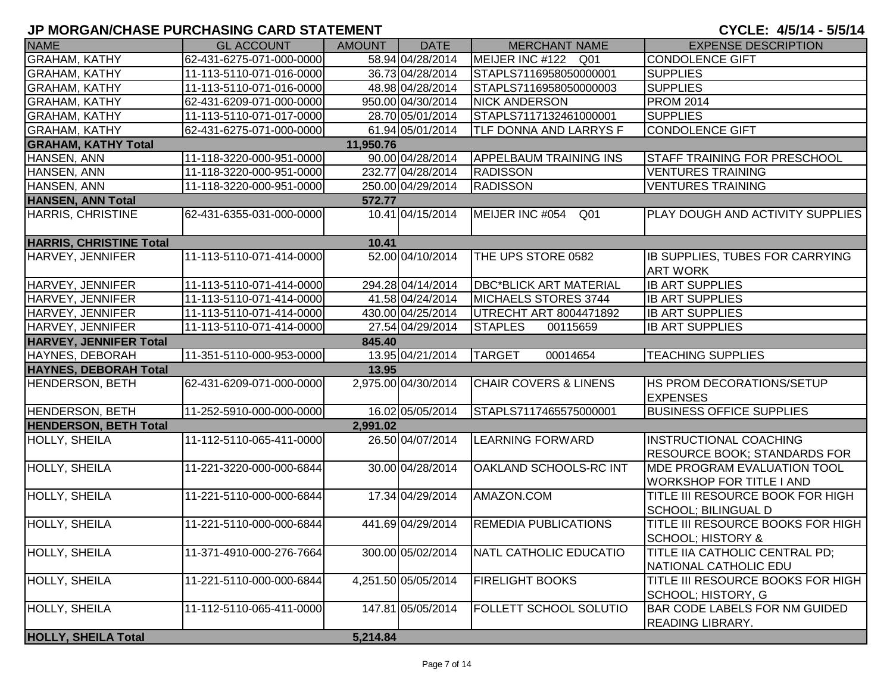| <b>NAME</b>                    | <b>GL ACCOUNT</b>        | <b>AMOUNT</b> | <b>DATE</b>         | <b>MERCHANT NAME</b>               | <b>EXPENSE DESCRIPTION</b>                                             |
|--------------------------------|--------------------------|---------------|---------------------|------------------------------------|------------------------------------------------------------------------|
| <b>GRAHAM, KATHY</b>           | 62-431-6275-071-000-0000 |               | 58.94 04/28/2014    | MEIJER INC #122 Q01                | CONDOLENCE GIFT                                                        |
| <b>GRAHAM, KATHY</b>           | 11-113-5110-071-016-0000 |               | 36.73 04/28/2014    | STAPLS7116958050000001             | <b>SUPPLIES</b>                                                        |
| <b>GRAHAM, KATHY</b>           | 11-113-5110-071-016-0000 |               | 48.98 04/28/2014    | STAPLS7116958050000003             | <b>SUPPLIES</b>                                                        |
| <b>GRAHAM, KATHY</b>           | 62-431-6209-071-000-0000 |               | 950.00 04/30/2014   | <b>NICK ANDERSON</b>               | <b>PROM 2014</b>                                                       |
| <b>GRAHAM, KATHY</b>           | 11-113-5110-071-017-0000 |               | 28.70 05/01/2014    | STAPLS7117132461000001             | <b>SUPPLIES</b>                                                        |
| <b>GRAHAM, KATHY</b>           | 62-431-6275-071-000-0000 |               | 61.94 05/01/2014    | TLF DONNA AND LARRYS F             | CONDOLENCE GIFT                                                        |
| <b>GRAHAM, KATHY Total</b>     |                          | 11,950.76     |                     |                                    |                                                                        |
| HANSEN, ANN                    | 11-118-3220-000-951-0000 |               | 90.00 04/28/2014    | <b>APPELBAUM TRAINING INS</b>      | <b>STAFF TRAINING FOR PRESCHOOL</b>                                    |
| HANSEN, ANN                    | 11-118-3220-000-951-0000 |               | 232.77 04/28/2014   | <b>RADISSON</b>                    | <b>VENTURES TRAINING</b>                                               |
| HANSEN, ANN                    | 11-118-3220-000-951-0000 |               | 250.00 04/29/2014   | <b>RADISSON</b>                    | <b>VENTURES TRAINING</b>                                               |
| <b>HANSEN, ANN Total</b>       |                          | 572.77        |                     |                                    |                                                                        |
| <b>HARRIS, CHRISTINE</b>       | 62-431-6355-031-000-0000 |               | 10.41 04/15/2014    | MEIJER INC #054<br>Q <sub>01</sub> | PLAY DOUGH AND ACTIVITY SUPPLIES                                       |
| <b>HARRIS, CHRISTINE Total</b> |                          | 10.41         |                     |                                    |                                                                        |
| HARVEY, JENNIFER               | 11-113-5110-071-414-0000 |               | 52.00 04/10/2014    | THE UPS STORE 0582                 | IB SUPPLIES, TUBES FOR CARRYING<br><b>ART WORK</b>                     |
| HARVEY, JENNIFER               | 11-113-5110-071-414-0000 |               | 294.28 04/14/2014   | <b>DBC*BLICK ART MATERIAL</b>      | <b>IB ART SUPPLIES</b>                                                 |
| HARVEY, JENNIFER               | 11-113-5110-071-414-0000 |               | 41.58 04/24/2014    | MICHAELS STORES 3744               | <b>IB ART SUPPLIES</b>                                                 |
| HARVEY, JENNIFER               | 11-113-5110-071-414-0000 |               | 430.00 04/25/2014   | <b>UTRECHT ART 8004471892</b>      | <b>IB ART SUPPLIES</b>                                                 |
| HARVEY, JENNIFER               | 11-113-5110-071-414-0000 |               | 27.54 04/29/2014    | <b>STAPLES</b><br>00115659         | <b>IB ART SUPPLIES</b>                                                 |
| <b>HARVEY, JENNIFER Total</b>  |                          | 845.40        |                     |                                    |                                                                        |
| HAYNES, DEBORAH                | 11-351-5110-000-953-0000 |               | 13.95 04/21/2014    | 00014654<br><b>TARGET</b>          | <b>TEACHING SUPPLIES</b>                                               |
| <b>HAYNES, DEBORAH Total</b>   |                          | 13.95         |                     |                                    |                                                                        |
| <b>HENDERSON, BETH</b>         | 62-431-6209-071-000-0000 |               | 2,975.00 04/30/2014 | <b>CHAIR COVERS &amp; LINENS</b>   | <b>HS PROM DECORATIONS/SETUP</b><br><b>EXPENSES</b>                    |
| <b>HENDERSON, BETH</b>         | 11-252-5910-000-000-0000 |               | 16.02 05/05/2014    | STAPLS7117465575000001             | <b>BUSINESS OFFICE SUPPLIES</b>                                        |
| <b>HENDERSON, BETH Total</b>   |                          | 2,991.02      |                     |                                    |                                                                        |
| HOLLY, SHEILA                  | 11-112-5110-065-411-0000 |               | 26.50 04/07/2014    | <b>LEARNING FORWARD</b>            | <b>INSTRUCTIONAL COACHING</b><br><b>RESOURCE BOOK; STANDARDS FOR</b>   |
| HOLLY, SHEILA                  | 11-221-3220-000-000-6844 |               | 30.00 04/28/2014    | OAKLAND SCHOOLS-RC INT             | <b>IMDE PROGRAM EVALUATION TOOL</b><br><b>WORKSHOP FOR TITLE I AND</b> |
| HOLLY, SHEILA                  | 11-221-5110-000-000-6844 |               | 17.34 04/29/2014    | AMAZON.COM                         | TITLE III RESOURCE BOOK FOR HIGH<br><b>SCHOOL; BILINGUAL D</b>         |
| HOLLY, SHEILA                  | 11-221-5110-000-000-6844 |               | 441.69 04/29/2014   | <b>REMEDIA PUBLICATIONS</b>        | TITLE III RESOURCE BOOKS FOR HIGH<br><b>ISCHOOL: HISTORY &amp;</b>     |
| HOLLY, SHEILA                  | 11-371-4910-000-276-7664 |               | 300.00 05/02/2014   | NATL CATHOLIC EDUCATIO             | <b>TITLE IIA CATHOLIC CENTRAL PD;</b><br>NATIONAL CATHOLIC EDU         |
| HOLLY, SHEILA                  | 11-221-5110-000-000-6844 |               | 4,251.50 05/05/2014 | <b>FIRELIGHT BOOKS</b>             | TITLE III RESOURCE BOOKS FOR HIGH<br>SCHOOL; HISTORY, G                |
| <b>HOLLY, SHEILA</b>           | 11-112-5110-065-411-0000 |               | 147.81 05/05/2014   | FOLLETT SCHOOL SOLUTIO             | <b>BAR CODE LABELS FOR NM GUIDED</b><br><b>READING LIBRARY.</b>        |
| <b>HOLLY, SHEILA Total</b>     |                          | 5,214.84      |                     |                                    |                                                                        |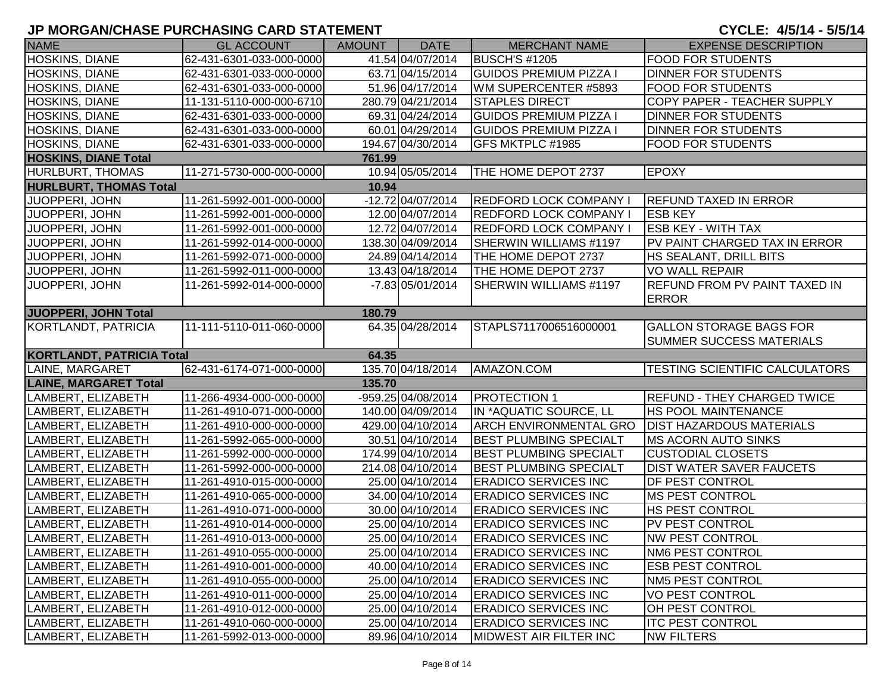| <b>NAME</b>                      | <b>GL ACCOUNT</b>         | AMOUNT | <b>DATE</b>        | <b>MERCHANT NAME</b>          | <b>EXPENSE DESCRIPTION</b>            |
|----------------------------------|---------------------------|--------|--------------------|-------------------------------|---------------------------------------|
| <b>HOSKINS, DIANE</b>            | 62-431-6301-033-000-0000  |        | 41.54 04/07/2014   | <b>BUSCH'S #1205</b>          | <b>FOOD FOR STUDENTS</b>              |
| <b>HOSKINS, DIANE</b>            | 62-431-6301-033-000-0000  |        | 63.71 04/15/2014   | <b>GUIDOS PREMIUM PIZZA I</b> | <b>DINNER FOR STUDENTS</b>            |
| HOSKINS, DIANE                   | 62-431-6301-033-000-0000  |        | 51.96 04/17/2014   | WM SUPERCENTER #5893          | <b>FOOD FOR STUDENTS</b>              |
| <b>HOSKINS, DIANE</b>            | 11-131-5110-000-000-6710  |        | 280.79 04/21/2014  | <b>STAPLES DIRECT</b>         | COPY PAPER - TEACHER SUPPLY           |
| <b>HOSKINS, DIANE</b>            | 62-431-6301-033-000-0000  |        | 69.31 04/24/2014   | <b>GUIDOS PREMIUM PIZZA I</b> | <b>DINNER FOR STUDENTS</b>            |
| <b>HOSKINS, DIANE</b>            | 62-431-6301-033-000-0000  |        | 60.01 04/29/2014   | <b>GUIDOS PREMIUM PIZZA I</b> | <b>DINNER FOR STUDENTS</b>            |
| <b>HOSKINS, DIANE</b>            | 62-431-6301-033-000-0000  |        | 194.67 04/30/2014  | GFS MKTPLC #1985              | <b>FOOD FOR STUDENTS</b>              |
| <b>HOSKINS, DIANE Total</b>      |                           | 761.99 |                    |                               |                                       |
| <b>HURLBURT, THOMAS</b>          | 11-271-5730-000-000-0000  |        | 10.94 05/05/2014   | THE HOME DEPOT 2737           | <b>EPOXY</b>                          |
| <b>HURLBURT, THOMAS Total</b>    |                           | 10.94  |                    |                               |                                       |
| JUOPPERI, JOHN                   | 11-261-5992-001-000-0000  |        | -12.72 04/07/2014  | <b>REDFORD LOCK COMPANY I</b> | <b>REFUND TAXED IN ERROR</b>          |
| JUOPPERI, JOHN                   | 11-261-5992-001-000-0000  |        | 12.00 04/07/2014   | <b>REDFORD LOCK COMPANY I</b> | <b>ESB KEY</b>                        |
| JUOPPERI, JOHN                   | 11-261-5992-001-000-0000  |        | 12.72 04/07/2014   | <b>REDFORD LOCK COMPANY I</b> | <b>ESB KEY - WITH TAX</b>             |
| JUOPPERI, JOHN                   | 11-261-5992-014-000-0000  |        | 138.30 04/09/2014  | <b>SHERWIN WILLIAMS #1197</b> | PV PAINT CHARGED TAX IN ERROR         |
| JUOPPERI, JOHN                   | 11-261-5992-071-000-0000  |        | 24.89 04/14/2014   | THE HOME DEPOT 2737           | HS SEALANT, DRILL BITS                |
| JUOPPERI, JOHN                   | 11-261-5992-011-000-0000  |        | 13.43 04/18/2014   | THE HOME DEPOT 2737           | <b>VO WALL REPAIR</b>                 |
| JUOPPERI, JOHN                   | 11-261-5992-014-000-0000  |        | $-7.83$ 05/01/2014 | SHERWIN WILLIAMS #1197        | <b>REFUND FROM PV PAINT TAXED IN</b>  |
|                                  |                           |        |                    |                               | <b>ERROR</b>                          |
| <b>JUOPPERI, JOHN Total</b>      |                           | 180.79 |                    |                               |                                       |
| KORTLANDT, PATRICIA              | 11-111-5110-011-060-0000  |        | 64.35 04/28/2014   | STAPLS7117006516000001        | GALLON STORAGE BAGS FOR               |
|                                  |                           |        |                    |                               | <b>SUMMER SUCCESS MATERIALS</b>       |
| <b>KORTLANDT, PATRICIA Total</b> |                           | 64.35  |                    |                               |                                       |
| LAINE, MARGARET                  | 62-431-6174-071-000-0000  |        | 135.70 04/18/2014  | AMAZON.COM                    | <b>TESTING SCIENTIFIC CALCULATORS</b> |
| <b>LAINE, MARGARET Total</b>     |                           | 135.70 |                    |                               |                                       |
| LAMBERT, ELIZABETH               | 11-266-4934-000-000-0000  |        | -959.25 04/08/2014 | <b>PROTECTION 1</b>           | <b>REFUND - THEY CHARGED TWICE</b>    |
| LAMBERT, ELIZABETH               | 11-261-4910-071-000-0000  |        | 140.00 04/09/2014  | IN *AQUATIC SOURCE, LL        | <b>HS POOL MAINTENANCE</b>            |
| LAMBERT, ELIZABETH               | 11-261-4910-000-000-0000  |        | 429.00 04/10/2014  | <b>ARCH ENVIRONMENTAL GRO</b> | <b>DIST HAZARDOUS MATERIALS</b>       |
| LAMBERT, ELIZABETH               | 11-261-5992-065-000-0000  |        | 30.51 04/10/2014   | <b>BEST PLUMBING SPECIALT</b> | <b>MS ACORN AUTO SINKS</b>            |
| LAMBERT, ELIZABETH               | 11-261-5992-000-000-0000  |        | 174.99 04/10/2014  | <b>BEST PLUMBING SPECIALT</b> | <b>CUSTODIAL CLOSETS</b>              |
| LAMBERT, ELIZABETH               | 11-261-5992-000-000-0000  |        | 214.08 04/10/2014  | <b>BEST PLUMBING SPECIALT</b> | <b>DIST WATER SAVER FAUCETS</b>       |
| LAMBERT, ELIZABETH               | 11-261-4910-015-000-0000  |        | 25.00 04/10/2014   | <b>ERADICO SERVICES INC</b>   | <b>DF PEST CONTROL</b>                |
| LAMBERT, ELIZABETH               | 11-261-4910-065-000-0000  |        | 34.00 04/10/2014   | <b>ERADICO SERVICES INC</b>   | <b>MS PEST CONTROL</b>                |
| LAMBERT, ELIZABETH               | 11-261-4910-071-000-0000  |        | 30.00 04/10/2014   | <b>ERADICO SERVICES INC</b>   | <b>HS PEST CONTROL</b>                |
| LAMBERT, ELIZABETH               | 11-261-4910-014-000-0000  |        | 25.00 04/10/2014   | <b>ERADICO SERVICES INC</b>   | <b>PV PEST CONTROL</b>                |
| LAMBERT, ELIZABETH               | 111-261-4910-013-000-0000 |        | 25.00 04/10/2014   | <b>ERADICO SERVICES INC</b>   | <b>NW PEST CONTROL</b>                |
| LAMBERT, ELIZABETH               | 11-261-4910-055-000-0000  |        | 25.00 04/10/2014   | <b>ERADICO SERVICES INC</b>   | <b>NM6 PEST CONTROL</b>               |
| LAMBERT, ELIZABETH               | 11-261-4910-001-000-0000  |        | 40.00 04/10/2014   | <b>ERADICO SERVICES INC</b>   | <b>ESB PEST CONTROL</b>               |
| LAMBERT, ELIZABETH               | 11-261-4910-055-000-0000  |        | 25.00 04/10/2014   | <b>ERADICO SERVICES INC</b>   | NM5 PEST CONTROL                      |
| LAMBERT, ELIZABETH               | 11-261-4910-011-000-0000  |        | 25.00 04/10/2014   | <b>ERADICO SERVICES INC</b>   | <b>VO PEST CONTROL</b>                |
| LAMBERT, ELIZABETH               | 11-261-4910-012-000-0000  |        | 25.00 04/10/2014   | <b>ERADICO SERVICES INC</b>   | <b>OH PEST CONTROL</b>                |
| LAMBERT, ELIZABETH               | 11-261-4910-060-000-0000  |        | 25.00 04/10/2014   | <b>ERADICO SERVICES INC</b>   | <b>ITC PEST CONTROL</b>               |
| LAMBERT, ELIZABETH               | 11-261-5992-013-000-0000  |        | 89.96 04/10/2014   | MIDWEST AIR FILTER INC        | <b>NW FILTERS</b>                     |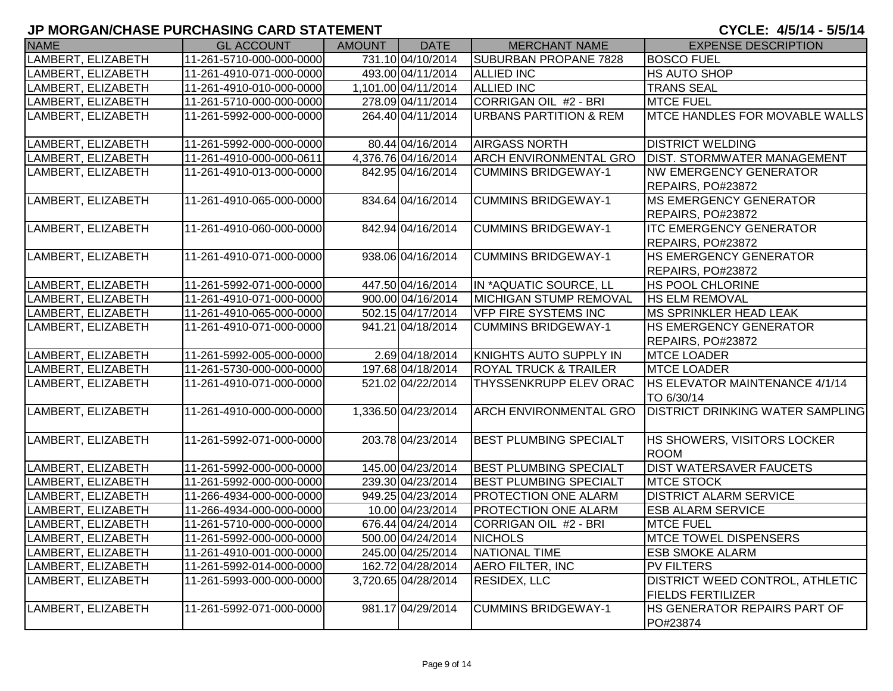| <b>NAME</b>        | <b>GL ACCOUNT</b>        | <b>AMOUNT</b> | <b>DATE</b>         | <b>MERCHANT NAME</b>              | <b>EXPENSE DESCRIPTION</b>                                  |
|--------------------|--------------------------|---------------|---------------------|-----------------------------------|-------------------------------------------------------------|
| LAMBERT, ELIZABETH | 11-261-5710-000-000-0000 |               | 731.10 04/10/2014   | SUBURBAN PROPANE 7828             | <b>BOSCO FUEL</b>                                           |
| LAMBERT, ELIZABETH | 11-261-4910-071-000-0000 |               | 493.00 04/11/2014   | <b>ALLIED INC</b>                 | HS AUTO SHOP                                                |
| LAMBERT, ELIZABETH | 11-261-4910-010-000-0000 |               | 1,101.00 04/11/2014 | <b>ALLIED INC</b>                 | <b>TRANS SEAL</b>                                           |
| LAMBERT, ELIZABETH | 11-261-5710-000-000-0000 |               | 278.09 04/11/2014   | <b>CORRIGAN OIL #2 - BRI</b>      | <b>MTCE FUEL</b>                                            |
| LAMBERT, ELIZABETH | 11-261-5992-000-000-0000 |               | 264.40 04/11/2014   | <b>URBANS PARTITION &amp; REM</b> | MTCE HANDLES FOR MOVABLE WALLS                              |
| LAMBERT, ELIZABETH | 11-261-5992-000-000-0000 |               | 80.44 04/16/2014    | <b>AIRGASS NORTH</b>              | <b>DISTRICT WELDING</b>                                     |
| LAMBERT, ELIZABETH | 11-261-4910-000-000-0611 |               | 4,376.76 04/16/2014 | <b>ARCH ENVIRONMENTAL GRO</b>     | <b>DIST. STORMWATER MANAGEMENT</b>                          |
| LAMBERT, ELIZABETH | 11-261-4910-013-000-0000 |               | 842.95 04/16/2014   | <b>CUMMINS BRIDGEWAY-1</b>        | <b>NW EMERGENCY GENERATOR</b><br>REPAIRS, PO#23872          |
| LAMBERT, ELIZABETH | 11-261-4910-065-000-0000 |               | 834.64 04/16/2014   | <b>CUMMINS BRIDGEWAY-1</b>        | <b>MS EMERGENCY GENERATOR</b><br>REPAIRS, PO#23872          |
| LAMBERT, ELIZABETH | 11-261-4910-060-000-0000 |               | 842.94 04/16/2014   | <b>CUMMINS BRIDGEWAY-1</b>        | <b>ITC EMERGENCY GENERATOR</b><br>REPAIRS, PO#23872         |
| LAMBERT, ELIZABETH | 11-261-4910-071-000-0000 |               | 938.06 04/16/2014   | <b>CUMMINS BRIDGEWAY-1</b>        | HS EMERGENCY GENERATOR<br>REPAIRS, PO#23872                 |
| LAMBERT, ELIZABETH | 11-261-5992-071-000-0000 |               | 447.50 04/16/2014   | IN *AQUATIC SOURCE, LL            | <b>HS POOL CHLORINE</b>                                     |
| LAMBERT, ELIZABETH | 11-261-4910-071-000-0000 |               | 900.00 04/16/2014   | <b>MICHIGAN STUMP REMOVAL</b>     | <b>HS ELM REMOVAL</b>                                       |
| LAMBERT, ELIZABETH | 11-261-4910-065-000-0000 |               | 502.15 04/17/2014   | <b>VFP FIRE SYSTEMS INC</b>       | <b>MS SPRINKLER HEAD LEAK</b>                               |
| LAMBERT, ELIZABETH | 11-261-4910-071-000-0000 |               | 941.21 04/18/2014   | <b>CUMMINS BRIDGEWAY-1</b>        | <b>HS EMERGENCY GENERATOR</b><br>REPAIRS, PO#23872          |
| LAMBERT, ELIZABETH | 11-261-5992-005-000-0000 |               | 2.69 04/18/2014     | <b>KNIGHTS AUTO SUPPLY IN</b>     | <b>MTCE LOADER</b>                                          |
| LAMBERT, ELIZABETH | 11-261-5730-000-000-0000 |               | 197.68 04/18/2014   | <b>ROYAL TRUCK &amp; TRAILER</b>  | <b>MTCE LOADER</b>                                          |
| LAMBERT, ELIZABETH | 11-261-4910-071-000-0000 |               | 521.02 04/22/2014   | THYSSENKRUPP ELEV ORAC            | HS ELEVATOR MAINTENANCE 4/1/14<br>TO 6/30/14                |
| LAMBERT, ELIZABETH | 11-261-4910-000-000-0000 |               | 1,336.50 04/23/2014 | <b>ARCH ENVIRONMENTAL GRO</b>     | <b>DISTRICT DRINKING WATER SAMPLING</b>                     |
| LAMBERT, ELIZABETH | 11-261-5992-071-000-0000 |               | 203.78 04/23/2014   | <b>BEST PLUMBING SPECIALT</b>     | HS SHOWERS, VISITORS LOCKER<br><b>ROOM</b>                  |
| LAMBERT, ELIZABETH | 11-261-5992-000-000-0000 |               | 145.00 04/23/2014   | <b>BEST PLUMBING SPECIALT</b>     | <b>DIST WATERSAVER FAUCETS</b>                              |
| LAMBERT, ELIZABETH | 11-261-5992-000-000-0000 |               | 239.30 04/23/2014   | <b>BEST PLUMBING SPECIALT</b>     | <b>MTCE STOCK</b>                                           |
| LAMBERT, ELIZABETH | 11-266-4934-000-000-0000 |               | 949.25 04/23/2014   | PROTECTION ONE ALARM              | <b>DISTRICT ALARM SERVICE</b>                               |
| LAMBERT, ELIZABETH | 11-266-4934-000-000-0000 |               | 10.00 04/23/2014    | <b>PROTECTION ONE ALARM</b>       | <b>ESB ALARM SERVICE</b>                                    |
| LAMBERT, ELIZABETH | 11-261-5710-000-000-0000 |               | 676.44 04/24/2014   | CORRIGAN OIL #2 - BRI             | <b>MTCE FUEL</b>                                            |
| LAMBERT, ELIZABETH | 11-261-5992-000-000-0000 |               | 500.00 04/24/2014   | <b>NICHOLS</b>                    | <b>MTCE TOWEL DISPENSERS</b>                                |
| LAMBERT, ELIZABETH | 11-261-4910-001-000-0000 |               | 245.00 04/25/2014   | <b>NATIONAL TIME</b>              | <b>ESB SMOKE ALARM</b>                                      |
| LAMBERT, ELIZABETH | 11-261-5992-014-000-0000 |               | 162.72 04/28/2014   | <b>AERO FILTER, INC</b>           | <b>PV FILTERS</b>                                           |
| LAMBERT, ELIZABETH | 11-261-5993-000-000-0000 |               | 3,720.65 04/28/2014 | <b>RESIDEX, LLC</b>               | DISTRICT WEED CONTROL, ATHLETIC<br><b>FIELDS FERTILIZER</b> |
| LAMBERT, ELIZABETH | 11-261-5992-071-000-0000 |               | 981.17 04/29/2014   | <b>CUMMINS BRIDGEWAY-1</b>        | HS GENERATOR REPAIRS PART OF<br>PO#23874                    |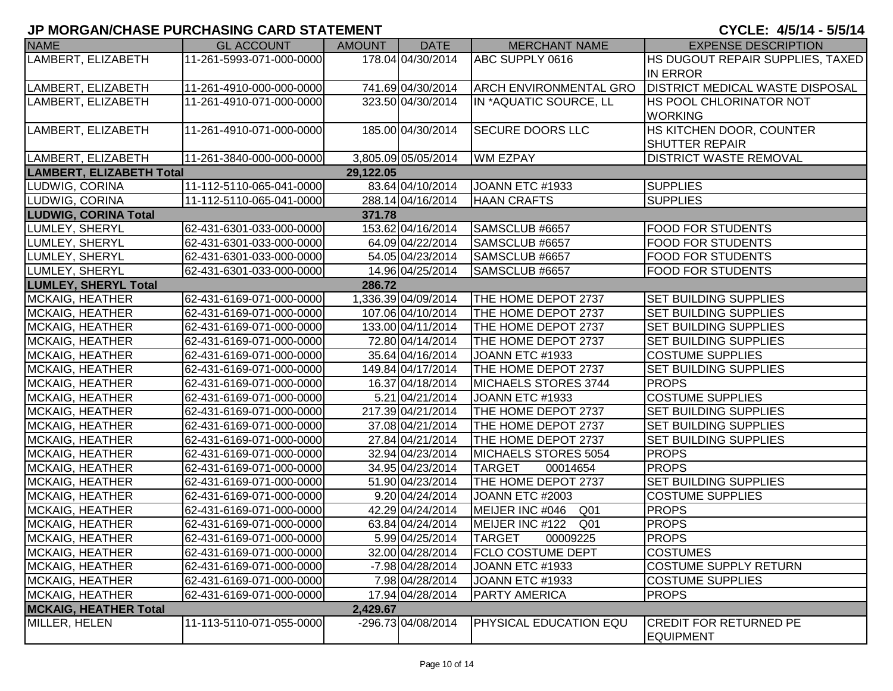# **JP MORGAN/CHASE PURCHASING CARD STATEMENT**

#### CYCLE: 4/5/14 - 5/5/14

| <b>NAME</b>                     | <b>GL ACCOUNT</b>        | AMOUNT    | <b>DATE</b>         | <b>MERCHANT NAME</b>          | <b>EXPENSE DESCRIPTION</b>                        |
|---------------------------------|--------------------------|-----------|---------------------|-------------------------------|---------------------------------------------------|
| LAMBERT, ELIZABETH              | 11-261-5993-071-000-0000 |           | 178.04 04/30/2014   | ABC SUPPLY 0616               | HS DUGOUT REPAIR SUPPLIES, TAXED                  |
|                                 |                          |           |                     |                               | <b>IN ERROR</b>                                   |
| LAMBERT, ELIZABETH              | 11-261-4910-000-000-0000 |           | 741.69 04/30/2014   | <b>ARCH ENVIRONMENTAL GRO</b> | <b>DISTRICT MEDICAL WASTE DISPOSAL</b>            |
| LAMBERT, ELIZABETH              | 11-261-4910-071-000-0000 |           | 323.50 04/30/2014   | IN *AQUATIC SOURCE, LL        | <b>HS POOL CHLORINATOR NOT</b>                    |
|                                 |                          |           |                     |                               | <b>WORKING</b>                                    |
| LAMBERT, ELIZABETH              | 11-261-4910-071-000-0000 |           | 185.00 04/30/2014   | <b>SECURE DOORS LLC</b>       | HS KITCHEN DOOR, COUNTER                          |
|                                 |                          |           |                     |                               | <b>SHUTTER REPAIR</b>                             |
| LAMBERT, ELIZABETH              | 11-261-3840-000-000-0000 |           | 3,805.09 05/05/2014 | <b>WM EZPAY</b>               | <b>DISTRICT WASTE REMOVAL</b>                     |
| <b>LAMBERT, ELIZABETH Total</b> |                          | 29,122.05 |                     |                               |                                                   |
| LUDWIG, CORINA                  | 11-112-5110-065-041-0000 |           | 83.64 04/10/2014    | JOANN ETC #1933               | <b>SUPPLIES</b>                                   |
| LUDWIG, CORINA                  | 11-112-5110-065-041-0000 |           | 288.14 04/16/2014   | <b>HAAN CRAFTS</b>            | <b>SUPPLIES</b>                                   |
| <b>LUDWIG, CORINA Total</b>     |                          | 371.78    |                     |                               |                                                   |
| LUMLEY, SHERYL                  | 62-431-6301-033-000-0000 |           | 153.62 04/16/2014   | SAMSCLUB #6657                | <b>FOOD FOR STUDENTS</b>                          |
| LUMLEY, SHERYL                  | 62-431-6301-033-000-0000 |           | 64.09 04/22/2014    | SAMSCLUB #6657                | <b>FOOD FOR STUDENTS</b>                          |
| <b>LUMLEY, SHERYL</b>           | 62-431-6301-033-000-0000 |           | 54.05 04/23/2014    | SAMSCLUB #6657                | <b>FOOD FOR STUDENTS</b>                          |
| LUMLEY, SHERYL                  | 62-431-6301-033-000-0000 |           | 14.96 04/25/2014    | SAMSCLUB #6657                | <b>FOOD FOR STUDENTS</b>                          |
| <b>LUMLEY, SHERYL Total</b>     |                          | 286.72    |                     |                               |                                                   |
| MCKAIG, HEATHER                 | 62-431-6169-071-000-0000 |           | 1,336.39 04/09/2014 | THE HOME DEPOT 2737           | <b>SET BUILDING SUPPLIES</b>                      |
| <b>MCKAIG, HEATHER</b>          | 62-431-6169-071-000-0000 |           | 107.06 04/10/2014   | THE HOME DEPOT 2737           | <b>SET BUILDING SUPPLIES</b>                      |
| MCKAIG, HEATHER                 | 62-431-6169-071-000-0000 |           | 133.00 04/11/2014   | THE HOME DEPOT 2737           | <b>SET BUILDING SUPPLIES</b>                      |
| MCKAIG, HEATHER                 | 62-431-6169-071-000-0000 |           | 72.80 04/14/2014    | THE HOME DEPOT 2737           | <b>SET BUILDING SUPPLIES</b>                      |
| MCKAIG, HEATHER                 | 62-431-6169-071-000-0000 |           | 35.64 04/16/2014    | JOANN ETC #1933               | <b>COSTUME SUPPLIES</b>                           |
| MCKAIG, HEATHER                 | 62-431-6169-071-000-0000 |           | 149.84 04/17/2014   | THE HOME DEPOT 2737           | SET BUILDING SUPPLIES                             |
| <b>MCKAIG, HEATHER</b>          | 62-431-6169-071-000-0000 |           | 16.37 04/18/2014    | MICHAELS STORES 3744          | <b>PROPS</b>                                      |
| MCKAIG, HEATHER                 | 62-431-6169-071-000-0000 |           | 5.21 04/21/2014     | JOANN ETC #1933               | <b>COSTUME SUPPLIES</b>                           |
| <b>MCKAIG, HEATHER</b>          | 62-431-6169-071-000-0000 |           | 217.39 04/21/2014   | THE HOME DEPOT 2737           | <b>SET BUILDING SUPPLIES</b>                      |
| MCKAIG, HEATHER                 | 62-431-6169-071-000-0000 |           | 37.08 04/21/2014    | THE HOME DEPOT 2737           | <b>SET BUILDING SUPPLIES</b>                      |
| MCKAIG, HEATHER                 | 62-431-6169-071-000-0000 |           | 27.84 04/21/2014    | THE HOME DEPOT 2737           | <b>SET BUILDING SUPPLIES</b>                      |
| MCKAIG, HEATHER                 | 62-431-6169-071-000-0000 |           | 32.94 04/23/2014    | MICHAELS STORES 5054          | <b>PROPS</b>                                      |
| MCKAIG, HEATHER                 | 62-431-6169-071-000-0000 |           | 34.95 04/23/2014    | <b>TARGET</b><br>00014654     | <b>FROPS</b>                                      |
| MCKAIG, HEATHER                 | 62-431-6169-071-000-0000 |           | 51.90 04/23/2014    | THE HOME DEPOT 2737           | <b>SET BUILDING SUPPLIES</b>                      |
| MCKAIG, HEATHER                 | 62-431-6169-071-000-0000 |           | 9.20 04/24/2014     | JOANN ETC #2003               | <b>COSTUME SUPPLIES</b>                           |
| MCKAIG, HEATHER                 | 62-431-6169-071-000-0000 |           | 42.29 04/24/2014    | MEIJER INC #046 Q01           | <b>PROPS</b>                                      |
| MCKAIG, HEATHER                 | 62-431-6169-071-000-0000 |           | 63.84 04/24/2014    | MEIJER INC #122 Q01           | <b>PROPS</b>                                      |
| MCKAIG, HEATHER                 | 62-431-6169-071-000-0000 |           | 5.99 04/25/2014     | <b>TARGET</b><br>00009225     | <b>PROPS</b>                                      |
| <b>MCKAIG, HEATHER</b>          | 62-431-6169-071-000-0000 |           | 32.00 04/28/2014    | <b>FCLO COSTUME DEPT</b>      | <b>COSTUMES</b>                                   |
| <b>MCKAIG, HEATHER</b>          | 62-431-6169-071-000-0000 |           | -7.98 04/28/2014    | JOANN ETC #1933               | COSTUME SUPPLY RETURN                             |
| <b>MCKAIG, HEATHER</b>          | 62-431-6169-071-000-0000 |           | 7.98 04/28/2014     | JOANN ETC #1933               | <b>COSTUME SUPPLIES</b>                           |
| <b>MCKAIG, HEATHER</b>          | 62-431-6169-071-000-0000 |           | 17.94 04/28/2014    | PARTY AMERICA                 | <b>PROPS</b>                                      |
| <b>MCKAIG, HEATHER Total</b>    |                          | 2,429.67  |                     |                               |                                                   |
| MILLER, HELEN                   | 11-113-5110-071-055-0000 |           | -296.73 04/08/2014  | PHYSICAL EDUCATION EQU        | <b>CREDIT FOR RETURNED PE</b><br><b>EQUIPMENT</b> |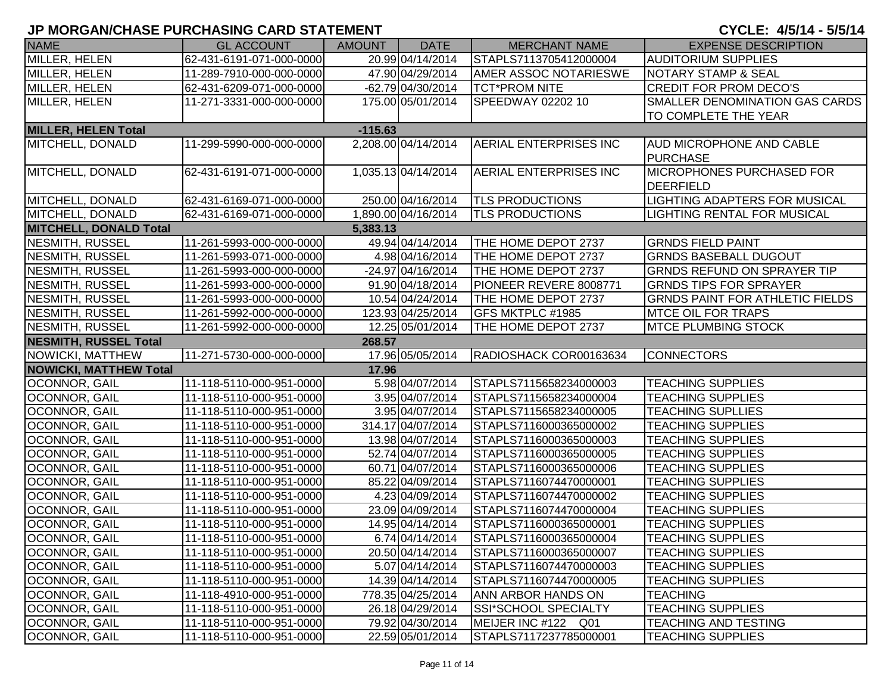| <b>NAME</b>                   | <b>GL ACCOUNT</b>        | <b>AMOUNT</b> | <b>DATE</b>         | <b>MERCHANT NAME</b>         | <b>EXPENSE DESCRIPTION</b>             |
|-------------------------------|--------------------------|---------------|---------------------|------------------------------|----------------------------------------|
| MILLER, HELEN                 | 62-431-6191-071-000-0000 |               | 20.99 04/14/2014    | STAPLS7113705412000004       | <b>AUDITORIUM SUPPLIES</b>             |
| MILLER, HELEN                 | 11-289-7910-000-000-0000 |               | 47.90 04/29/2014    | <b>AMER ASSOC NOTARIESWE</b> | <b>NOTARY STAMP &amp; SEAL</b>         |
| MILLER, HELEN                 | 62-431-6209-071-000-0000 |               | -62.79 04/30/2014   | <b>TCT*PROM NITE</b>         | <b>CREDIT FOR PROM DECO'S</b>          |
| MILLER, HELEN                 | 11-271-3331-000-000-0000 |               | 175.00 05/01/2014   | SPEEDWAY 02202 10            | SMALLER DENOMINATION GAS CARDS         |
|                               |                          |               |                     |                              | TO COMPLETE THE YEAR                   |
| <b>MILLER, HELEN Total</b>    |                          |               |                     |                              |                                        |
| MITCHELL, DONALD              | 11-299-5990-000-000-0000 |               | 2,208.00 04/14/2014 | AERIAL ENTERPRISES INC       | <b>AUD MICROPHONE AND CABLE</b>        |
|                               |                          |               |                     |                              | <b>PURCHASE</b>                        |
| MITCHELL, DONALD              | 62-431-6191-071-000-0000 |               | 1,035.13 04/14/2014 | AERIAL ENTERPRISES INC       | <b>MICROPHONES PURCHASED FOR</b>       |
|                               |                          |               |                     |                              | <b>DEERFIELD</b>                       |
| MITCHELL, DONALD              | 62-431-6169-071-000-0000 |               | 250.00 04/16/2014   | <b>TLS PRODUCTIONS</b>       | LIGHTING ADAPTERS FOR MUSICAL          |
| MITCHELL, DONALD              | 62-431-6169-071-000-0000 |               | 1,890.00 04/16/2014 | <b>TLS PRODUCTIONS</b>       | LIGHTING RENTAL FOR MUSICAL            |
| <b>MITCHELL, DONALD Total</b> |                          | 5,383.13      |                     |                              |                                        |
| <b>NESMITH, RUSSEL</b>        | 11-261-5993-000-000-0000 |               | 49.94 04/14/2014    | THE HOME DEPOT 2737          | <b>GRNDS FIELD PAINT</b>               |
| NESMITH, RUSSEL               | 11-261-5993-071-000-0000 |               | 4.98 04/16/2014     | THE HOME DEPOT 2737          | <b>GRNDS BASEBALL DUGOUT</b>           |
| NESMITH, RUSSEL               | 11-261-5993-000-000-0000 |               | -24.97 04/16/2014   | THE HOME DEPOT 2737          | <b>GRNDS REFUND ON SPRAYER TIP</b>     |
| NESMITH, RUSSEL               | 11-261-5993-000-000-0000 |               | 91.90 04/18/2014    | PIONEER REVERE 8008771       | <b>GRNDS TIPS FOR SPRAYER</b>          |
| NESMITH, RUSSEL               | 11-261-5993-000-000-0000 |               | 10.54 04/24/2014    | THE HOME DEPOT 2737          | <b>GRNDS PAINT FOR ATHLETIC FIELDS</b> |
| NESMITH, RUSSEL               | 11-261-5992-000-000-0000 |               | 123.93 04/25/2014   | GFS MKTPLC #1985             | <b>MTCE OIL FOR TRAPS</b>              |
| NESMITH, RUSSEL               | 11-261-5992-000-000-0000 |               | 12.25 05/01/2014    | THE HOME DEPOT 2737          | <b>MTCE PLUMBING STOCK</b>             |
| <b>NESMITH, RUSSEL Total</b>  |                          | 268.57        |                     |                              |                                        |
| NOWICKI, MATTHEW              | 11-271-5730-000-000-0000 |               | 17.96 05/05/2014    | RADIOSHACK COR00163634       | <b>CONNECTORS</b>                      |
| <b>NOWICKI, MATTHEW Total</b> |                          | 17.96         |                     |                              |                                        |
| <b>OCONNOR, GAIL</b>          | 11-118-5110-000-951-0000 |               | 5.98 04/07/2014     | STAPLS7115658234000003       | <b>TEACHING SUPPLIES</b>               |
| <b>OCONNOR, GAIL</b>          | 11-118-5110-000-951-0000 |               | 3.95 04/07/2014     | STAPLS7115658234000004       | <b>TEACHING SUPPLIES</b>               |
| OCONNOR, GAIL                 | 11-118-5110-000-951-0000 |               | 3.95 04/07/2014     | STAPLS7115658234000005       | <b>TEACHING SUPLLIES</b>               |
| OCONNOR, GAIL                 | 11-118-5110-000-951-0000 |               | 314.17 04/07/2014   | STAPLS7116000365000002       | <b>TEACHING SUPPLIES</b>               |
| OCONNOR, GAIL                 | 11-118-5110-000-951-0000 |               | 13.98 04/07/2014    | STAPLS7116000365000003       | <b>TEACHING SUPPLIES</b>               |
| OCONNOR, GAIL                 | 11-118-5110-000-951-0000 |               | 52.74 04/07/2014    | STAPLS7116000365000005       | <b>TEACHING SUPPLIES</b>               |
| OCONNOR, GAIL                 | 11-118-5110-000-951-0000 |               | 60.71 04/07/2014    | STAPLS7116000365000006       | <b>TEACHING SUPPLIES</b>               |
| OCONNOR, GAIL                 | 11-118-5110-000-951-0000 |               | 85.22 04/09/2014    | STAPLS7116074470000001       | <b>TEACHING SUPPLIES</b>               |
| OCONNOR, GAIL                 | 11-118-5110-000-951-0000 |               | 4.23 04/09/2014     | STAPLS7116074470000002       | <b>TEACHING SUPPLIES</b>               |
| OCONNOR, GAIL                 | 11-118-5110-000-951-0000 |               | 23.09 04/09/2014    | STAPLS7116074470000004       | <b>TEACHING SUPPLIES</b>               |
| OCONNOR, GAIL                 | 11-118-5110-000-951-0000 |               | 14.95 04/14/2014    | STAPLS7116000365000001       | <b>TEACHING SUPPLIES</b>               |
| OCONNOR, GAIL                 | 11-118-5110-000-951-0000 |               | 6.74 04/14/2014     | STAPLS7116000365000004       | <b>TEACHING SUPPLIES</b>               |
| OCONNOR, GAIL                 | 11-118-5110-000-951-0000 |               | 20.50 04/14/2014    | STAPLS7116000365000007       | <b>TEACHING SUPPLIES</b>               |
| OCONNOR, GAIL                 | 11-118-5110-000-951-0000 |               | 5.07 04/14/2014     | STAPLS7116074470000003       | <b>TEACHING SUPPLIES</b>               |
| OCONNOR, GAIL                 | 11-118-5110-000-951-0000 |               | 14.39 04/14/2014    | STAPLS7116074470000005       | <b>TEACHING SUPPLIES</b>               |
| OCONNOR, GAIL                 | 11-118-4910-000-951-0000 |               | 778.35 04/25/2014   | ANN ARBOR HANDS ON           | <b>TEACHING</b>                        |
| OCONNOR, GAIL                 | 11-118-5110-000-951-0000 |               | 26.18 04/29/2014    | <b>SSI*SCHOOL SPECIALTY</b>  | <b>TEACHING SUPPLIES</b>               |
| OCONNOR, GAIL                 | 11-118-5110-000-951-0000 |               | 79.92 04/30/2014    | MEIJER INC #122 Q01          | <b>TEACHING AND TESTING</b>            |
| <b>OCONNOR, GAIL</b>          | 11-118-5110-000-951-0000 |               | 22.59 05/01/2014    | STAPLS7117237785000001       | <b>TEACHING SUPPLIES</b>               |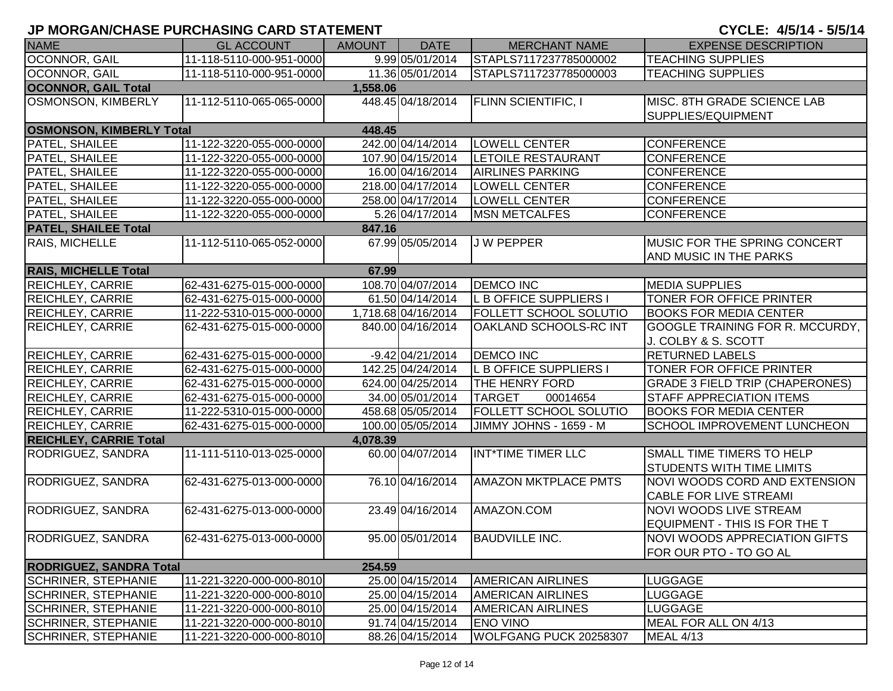| <b>NAME</b>                     | <b>GL ACCOUNT</b>        | <b>AMOUNT</b> | <b>DATE</b>         | <b>MERCHANT NAME</b>          | <b>EXPENSE DESCRIPTION</b>                                     |
|---------------------------------|--------------------------|---------------|---------------------|-------------------------------|----------------------------------------------------------------|
| OCONNOR, GAIL                   | 11-118-5110-000-951-0000 |               | 9.99 05/01/2014     | STAPLS7117237785000002        | <b>TEACHING SUPPLIES</b>                                       |
| OCONNOR, GAIL                   | 11-118-5110-000-951-0000 |               | 11.36 05/01/2014    | STAPLS7117237785000003        | <b>TEACHING SUPPLIES</b>                                       |
| <b>OCONNOR, GAIL Total</b>      |                          | 1,558.06      |                     |                               |                                                                |
| <b>OSMONSON, KIMBERLY</b>       | 11-112-5110-065-065-0000 |               | 448.45 04/18/2014   | <b>FLINN SCIENTIFIC, I</b>    | MISC. 8TH GRADE SCIENCE LAB<br>SUPPLIES/EQUIPMENT              |
| <b>OSMONSON, KIMBERLY Total</b> |                          | 448.45        |                     |                               |                                                                |
| PATEL, SHAILEE                  | 11-122-3220-055-000-0000 |               | 242.00 04/14/2014   | <b>LOWELL CENTER</b>          | <b>CONFERENCE</b>                                              |
| PATEL, SHAILEE                  | 11-122-3220-055-000-0000 |               | 107.90 04/15/2014   | <b>LETOILE RESTAURANT</b>     | <b>CONFERENCE</b>                                              |
| PATEL, SHAILEE                  | 11-122-3220-055-000-0000 |               | 16.00 04/16/2014    | <b>AIRLINES PARKING</b>       | <b>CONFERENCE</b>                                              |
| PATEL, SHAILEE                  | 11-122-3220-055-000-0000 |               | 218.00 04/17/2014   | <b>LOWELL CENTER</b>          | <b>CONFERENCE</b>                                              |
| PATEL, SHAILEE                  | 11-122-3220-055-000-0000 |               | 258.00 04/17/2014   | <b>LOWELL CENTER</b>          | <b>CONFERENCE</b>                                              |
| PATEL, SHAILEE                  | 11-122-3220-055-000-0000 |               | 5.26 04/17/2014     | <b>MSN METCALFES</b>          | <b>CONFERENCE</b>                                              |
| <b>PATEL, SHAILEE Total</b>     |                          | 847.16        |                     |                               |                                                                |
| RAIS, MICHELLE                  | 11-112-5110-065-052-0000 |               | 67.99 05/05/2014    | <b>JW PEPPER</b>              | MUSIC FOR THE SPRING CONCERT<br>AND MUSIC IN THE PARKS         |
| <b>RAIS, MICHELLE Total</b>     |                          | 67.99         |                     |                               |                                                                |
| <b>REICHLEY, CARRIE</b>         | 62-431-6275-015-000-0000 |               | 108.70 04/07/2014   | <b>DEMCO INC</b>              | <b>MEDIA SUPPLIES</b>                                          |
| REICHLEY, CARRIE                | 62-431-6275-015-000-0000 |               | 61.50 04/14/2014    | L B OFFICE SUPPLIERS I        | TONER FOR OFFICE PRINTER                                       |
| <b>REICHLEY, CARRIE</b>         | 11-222-5310-015-000-0000 |               | 1,718.68 04/16/2014 | <b>FOLLETT SCHOOL SOLUTIO</b> | <b>BOOKS FOR MEDIA CENTER</b>                                  |
| <b>REICHLEY, CARRIE</b>         | 62-431-6275-015-000-0000 |               | 840.00 04/16/2014   | OAKLAND SCHOOLS-RC INT        | GOOGLE TRAINING FOR R. MCCURDY,<br>J. COLBY & S. SCOTT         |
| <b>REICHLEY, CARRIE</b>         | 62-431-6275-015-000-0000 |               | $-9.42 04/21/2014$  | <b>DEMCO INC</b>              | <b>RETURNED LABELS</b>                                         |
| <b>REICHLEY, CARRIE</b>         | 62-431-6275-015-000-0000 |               | 142.25 04/24/2014   | <b>L B OFFICE SUPPLIERS I</b> | TONER FOR OFFICE PRINTER                                       |
| <b>REICHLEY, CARRIE</b>         | 62-431-6275-015-000-0000 |               | 624.00 04/25/2014   | <b>THE HENRY FORD</b>         | <b>GRADE 3 FIELD TRIP (CHAPERONES)</b>                         |
| <b>REICHLEY, CARRIE</b>         | 62-431-6275-015-000-0000 |               | 34.00 05/01/2014    | <b>TARGET</b><br>00014654     | STAFF APPRECIATION ITEMS                                       |
| <b>REICHLEY, CARRIE</b>         | 11-222-5310-015-000-0000 |               | 458.68 05/05/2014   | <b>FOLLETT SCHOOL SOLUTIO</b> | <b>BOOKS FOR MEDIA CENTER</b>                                  |
| <b>REICHLEY, CARRIE</b>         | 62-431-6275-015-000-0000 |               | 100.00 05/05/2014   | JIMMY JOHNS - 1659 - M        | SCHOOL IMPROVEMENT LUNCHEON                                    |
| <b>REICHLEY, CARRIE Total</b>   |                          | 4,078.39      |                     |                               |                                                                |
| RODRIGUEZ, SANDRA               | 11-111-5110-013-025-0000 |               | 60.00 04/07/2014    | INT*TIME TIMER LLC            | SMALL TIME TIMERS TO HELP<br>STUDENTS WITH TIME LIMITS         |
| RODRIGUEZ, SANDRA               | 62-431-6275-013-000-0000 |               | 76.10 04/16/2014    | <b>AMAZON MKTPLACE PMTS</b>   | NOVI WOODS CORD AND EXTENSION<br>CABLE FOR LIVE STREAMI        |
| RODRIGUEZ, SANDRA               | 62-431-6275-013-000-0000 |               | 23.49 04/16/2014    | AMAZON.COM                    | <b>NOVI WOODS LIVE STREAM</b><br>EQUIPMENT - THIS IS FOR THE T |
| RODRIGUEZ, SANDRA               | 62-431-6275-013-000-0000 |               | 95.00 05/01/2014    | <b>BAUDVILLE INC.</b>         | <b>NOVI WOODS APPRECIATION GIFTS</b><br>FOR OUR PTO - TO GO AL |
| <b>RODRIGUEZ, SANDRA Total</b>  |                          | 254.59        |                     |                               |                                                                |
| <b>SCHRINER, STEPHANIE</b>      | 11-221-3220-000-000-8010 |               | 25.00 04/15/2014    | <b>AMERICAN AIRLINES</b>      | <b>LUGGAGE</b>                                                 |
| <b>SCHRINER, STEPHANIE</b>      | 11-221-3220-000-000-8010 |               | 25.00 04/15/2014    | <b>AMERICAN AIRLINES</b>      | <b>LUGGAGE</b>                                                 |
| <b>SCHRINER, STEPHANIE</b>      | 11-221-3220-000-000-8010 |               | 25.00 04/15/2014    | <b>AMERICAN AIRLINES</b>      | <b>LUGGAGE</b>                                                 |
| <b>SCHRINER, STEPHANIE</b>      | 11-221-3220-000-000-8010 |               | 91.74 04/15/2014    | <b>ENO VINO</b>               | MEAL FOR ALL ON 4/13                                           |
| <b>SCHRINER, STEPHANIE</b>      | 11-221-3220-000-000-8010 |               | 88.26 04/15/2014    | WOLFGANG PUCK 20258307        | <b>MEAL 4/13</b>                                               |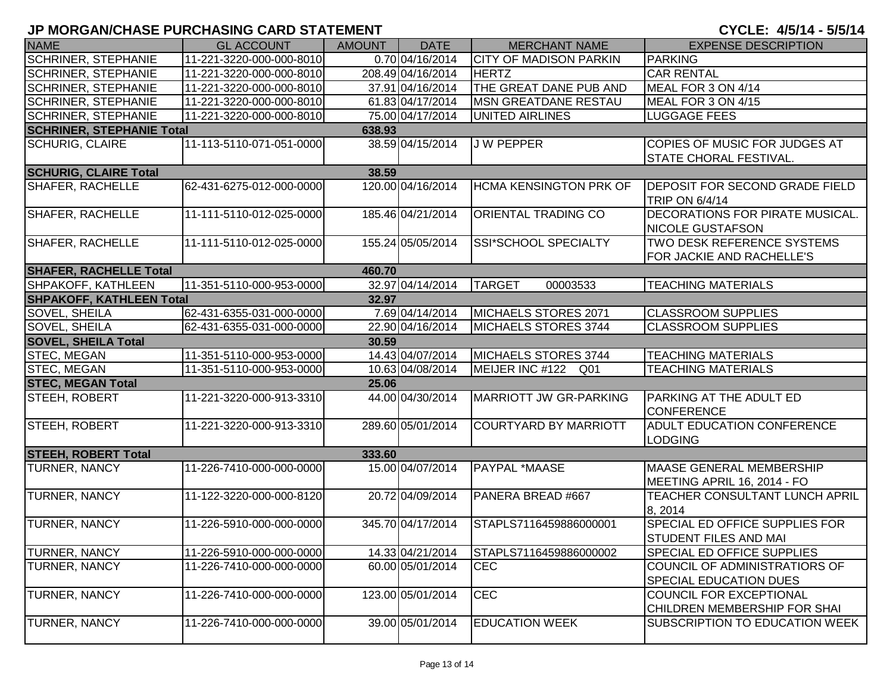| <b>NAME</b>                                | <b>GL ACCOUNT</b>        | <b>AMOUNT</b> | <b>DATE</b>       | <b>MERCHANT NAME</b>          | <b>EXPENSE DESCRIPTION</b>                                            |  |  |  |
|--------------------------------------------|--------------------------|---------------|-------------------|-------------------------------|-----------------------------------------------------------------------|--|--|--|
| <b>SCHRINER, STEPHANIE</b>                 | 11-221-3220-000-000-8010 |               | 0.70 04/16/2014   | <b>CITY OF MADISON PARKIN</b> | <b>PARKING</b>                                                        |  |  |  |
| <b>SCHRINER, STEPHANIE</b>                 | 11-221-3220-000-000-8010 |               | 208.49 04/16/2014 | <b>HERTZ</b>                  | <b>CAR RENTAL</b>                                                     |  |  |  |
| <b>SCHRINER, STEPHANIE</b>                 | 11-221-3220-000-000-8010 |               | 37.91 04/16/2014  | THE GREAT DANE PUB AND        | MEAL FOR 3 ON 4/14                                                    |  |  |  |
| <b>SCHRINER, STEPHANIE</b>                 | 11-221-3220-000-000-8010 |               | 61.83 04/17/2014  | <b>MSN GREATDANE RESTAU</b>   | MEAL FOR 3 ON 4/15                                                    |  |  |  |
| <b>SCHRINER, STEPHANIE</b>                 | 11-221-3220-000-000-8010 |               | 75.00 04/17/2014  | UNITED AIRLINES               | <b>LUGGAGE FEES</b>                                                   |  |  |  |
| <b>SCHRINER, STEPHANIE Total</b><br>638.93 |                          |               |                   |                               |                                                                       |  |  |  |
| <b>SCHURIG, CLAIRE</b>                     | 11-113-5110-071-051-0000 |               | 38.59 04/15/2014  | <b>JW PEPPER</b>              | COPIES OF MUSIC FOR JUDGES AT<br><b>STATE CHORAL FESTIVAL.</b>        |  |  |  |
| <b>SCHURIG, CLAIRE Total</b><br>38.59      |                          |               |                   |                               |                                                                       |  |  |  |
| <b>SHAFER, RACHELLE</b>                    | 62-431-6275-012-000-0000 |               | 120.00 04/16/2014 | HCMA KENSINGTON PRK OF        | <b>DEPOSIT FOR SECOND GRADE FIELD</b><br>TRIP ON 6/4/14               |  |  |  |
| <b>SHAFER, RACHELLE</b>                    | 11-111-5110-012-025-0000 |               | 185.46 04/21/2014 | ORIENTAL TRADING CO           | <b>DECORATIONS FOR PIRATE MUSICAL.</b><br><b>NICOLE GUSTAFSON</b>     |  |  |  |
| SHAFER, RACHELLE                           | 11-111-5110-012-025-0000 |               | 155.24 05/05/2014 | SSI*SCHOOL SPECIALTY          | TWO DESK REFERENCE SYSTEMS<br>FOR JACKIE AND RACHELLE'S               |  |  |  |
| <b>SHAFER, RACHELLE Total</b>              |                          | 460.70        |                   |                               |                                                                       |  |  |  |
| SHPAKOFF, KATHLEEN                         | 11-351-5110-000-953-0000 |               | 32.97 04/14/2014  | <b>TARGET</b><br>00003533     | <b>TEACHING MATERIALS</b>                                             |  |  |  |
| <b>SHPAKOFF, KATHLEEN Total</b>            |                          | 32.97         |                   |                               |                                                                       |  |  |  |
| SOVEL, SHEILA                              | 62-431-6355-031-000-0000 |               | 7.69 04/14/2014   | MICHAELS STORES 2071          | <b>CLASSROOM SUPPLIES</b>                                             |  |  |  |
| SOVEL, SHEILA                              | 62-431-6355-031-000-0000 |               | 22.90 04/16/2014  | MICHAELS STORES 3744          | <b>CLASSROOM SUPPLIES</b>                                             |  |  |  |
| <b>SOVEL, SHEILA Total</b>                 |                          | 30.59         |                   |                               |                                                                       |  |  |  |
| STEC, MEGAN                                | 11-351-5110-000-953-0000 |               | 14.43 04/07/2014  | MICHAELS STORES 3744          | <b>TEACHING MATERIALS</b>                                             |  |  |  |
| STEC, MEGAN                                | 11-351-5110-000-953-0000 |               | 10.63 04/08/2014  | MEIJER INC #122 Q01           | <b>TEACHING MATERIALS</b>                                             |  |  |  |
| <b>STEC, MEGAN Total</b>                   |                          | 25.06         |                   |                               |                                                                       |  |  |  |
| <b>STEEH, ROBERT</b>                       | 11-221-3220-000-913-3310 |               | 44.00 04/30/2014  | <b>MARRIOTT JW GR-PARKING</b> | PARKING AT THE ADULT ED<br><b>CONFERENCE</b>                          |  |  |  |
| STEEH, ROBERT                              | 11-221-3220-000-913-3310 |               | 289.60 05/01/2014 | COURTYARD BY MARRIOTT         | <b>ADULT EDUCATION CONFERENCE</b><br><b>LODGING</b>                   |  |  |  |
| <b>STEEH, ROBERT Total</b>                 |                          | 333.60        |                   |                               |                                                                       |  |  |  |
| TURNER, NANCY                              | 11-226-7410-000-000-0000 |               | 15.00 04/07/2014  | PAYPAL *MAASE                 | MAASE GENERAL MEMBERSHIP<br>MEETING APRIL 16, 2014 - FO               |  |  |  |
| TURNER, NANCY                              | 11-122-3220-000-000-8120 |               | 20.72 04/09/2014  | PANERA BREAD #667             | <b>TEACHER CONSULTANT LUNCH APRIL</b><br>8, 2014                      |  |  |  |
| TURNER, NANCY                              | 11-226-5910-000-000-0000 |               | 345.70 04/17/2014 | STAPLS7116459886000001        | <b>SPECIAL ED OFFICE SUPPLIES FOR</b><br><b>STUDENT FILES AND MAI</b> |  |  |  |
| <b>TURNER, NANCY</b>                       | 11-226-5910-000-000-0000 |               | 14.33 04/21/2014  | STAPLS7116459886000002        | <b>SPECIAL ED OFFICE SUPPLIES</b>                                     |  |  |  |
| TURNER, NANCY                              | 11-226-7410-000-000-0000 |               | 60.00 05/01/2014  | <b>CEC</b>                    | COUNCIL OF ADMINISTRATIORS OF<br><b>SPECIAL EDUCATION DUES</b>        |  |  |  |
| <b>TURNER, NANCY</b>                       | 11-226-7410-000-000-0000 |               | 123.00 05/01/2014 | <b>CEC</b>                    | <b>COUNCIL FOR EXCEPTIONAL</b><br>CHILDREN MEMBERSHIP FOR SHAI        |  |  |  |
| TURNER, NANCY                              | 11-226-7410-000-000-0000 |               | 39.00 05/01/2014  | <b>EDUCATION WEEK</b>         | SUBSCRIPTION TO EDUCATION WEEK                                        |  |  |  |